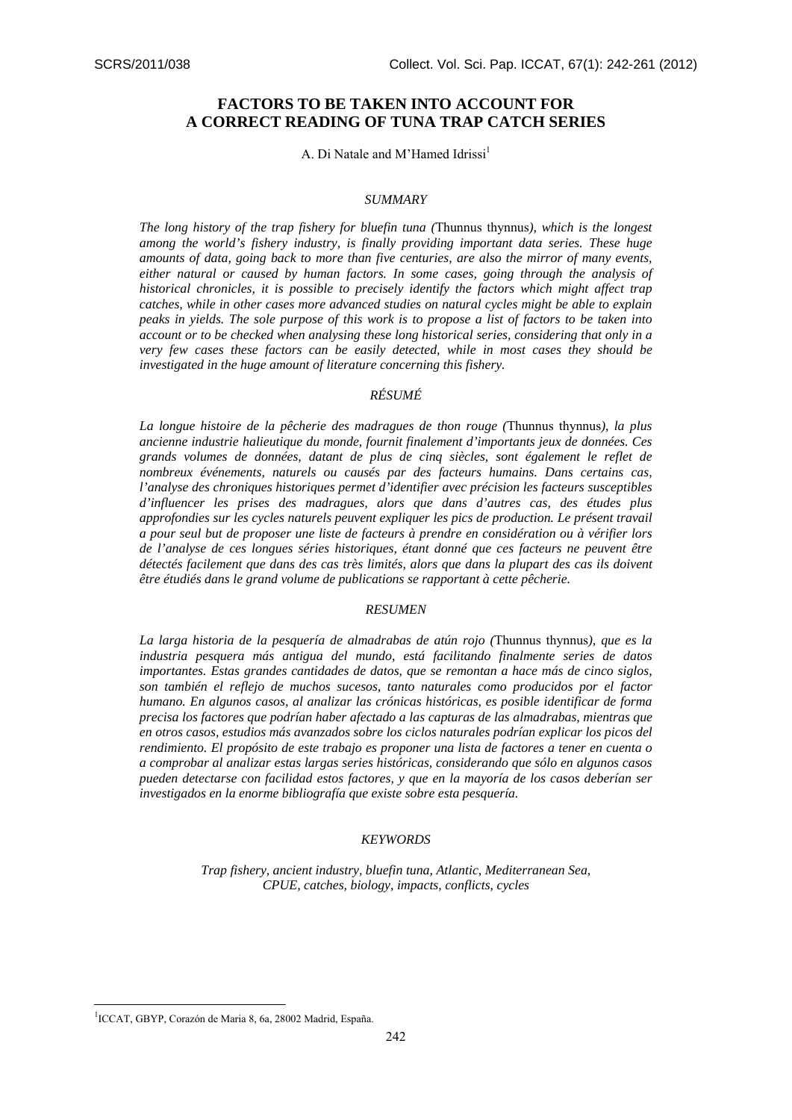# **FACTORS TO BE TAKEN INTO ACCOUNT FOR A CORRECT READING OF TUNA TRAP CATCH SERIES**

A. Di Natale and M'Hamed Idrissi<sup>1</sup>

#### *SUMMARY*

*The long history of the trap fishery for bluefin tuna (*Thunnus thynnus*), which is the longest among the world's fishery industry, is finally providing important data series. These huge amounts of data, going back to more than five centuries, are also the mirror of many events, either natural or caused by human factors. In some cases, going through the analysis of historical chronicles, it is possible to precisely identify the factors which might affect trap catches, while in other cases more advanced studies on natural cycles might be able to explain peaks in yields. The sole purpose of this work is to propose a list of factors to be taken into account or to be checked when analysing these long historical series, considering that only in a very few cases these factors can be easily detected, while in most cases they should be investigated in the huge amount of literature concerning this fishery.* 

## *RÉSUMÉ*

*La longue histoire de la pêcherie des madragues de thon rouge (*Thunnus thynnus*), la plus ancienne industrie halieutique du monde, fournit finalement d'importants jeux de données. Ces grands volumes de données, datant de plus de cinq siècles, sont également le reflet de nombreux événements, naturels ou causés par des facteurs humains. Dans certains cas, l'analyse des chroniques historiques permet d'identifier avec précision les facteurs susceptibles d'influencer les prises des madragues, alors que dans d'autres cas, des études plus approfondies sur les cycles naturels peuvent expliquer les pics de production. Le présent travail a pour seul but de proposer une liste de facteurs à prendre en considération ou à vérifier lors de l'analyse de ces longues séries historiques, étant donné que ces facteurs ne peuvent être détectés facilement que dans des cas très limités, alors que dans la plupart des cas ils doivent être étudiés dans le grand volume de publications se rapportant à cette pêcherie.*

#### *RESUMEN*

*La larga historia de la pesquería de almadrabas de atún rojo (*Thunnus thynnus*), que es la industria pesquera más antigua del mundo, está facilitando finalmente series de datos importantes. Estas grandes cantidades de datos, que se remontan a hace más de cinco siglos, son también el reflejo de muchos sucesos, tanto naturales como producidos por el factor humano. En algunos casos, al analizar las crónicas históricas, es posible identificar de forma precisa los factores que podrían haber afectado a las capturas de las almadrabas, mientras que en otros casos, estudios más avanzados sobre los ciclos naturales podrían explicar los picos del rendimiento. El propósito de este trabajo es proponer una lista de factores a tener en cuenta o a comprobar al analizar estas largas series históricas, considerando que sólo en algunos casos pueden detectarse con facilidad estos factores, y que en la mayoría de los casos deberían ser investigados en la enorme bibliografía que existe sobre esta pesquería.* 

#### *KEYWORDS*

*Trap fishery, ancient industry, bluefin tuna, Atlantic, Mediterranean Sea, CPUE, catches, biology, impacts, conflicts, cycles* 

<u>.</u>

<sup>&</sup>lt;sup>1</sup>ICCAT, GBYP, Corazón de Maria 8, 6a, 28002 Madrid, España.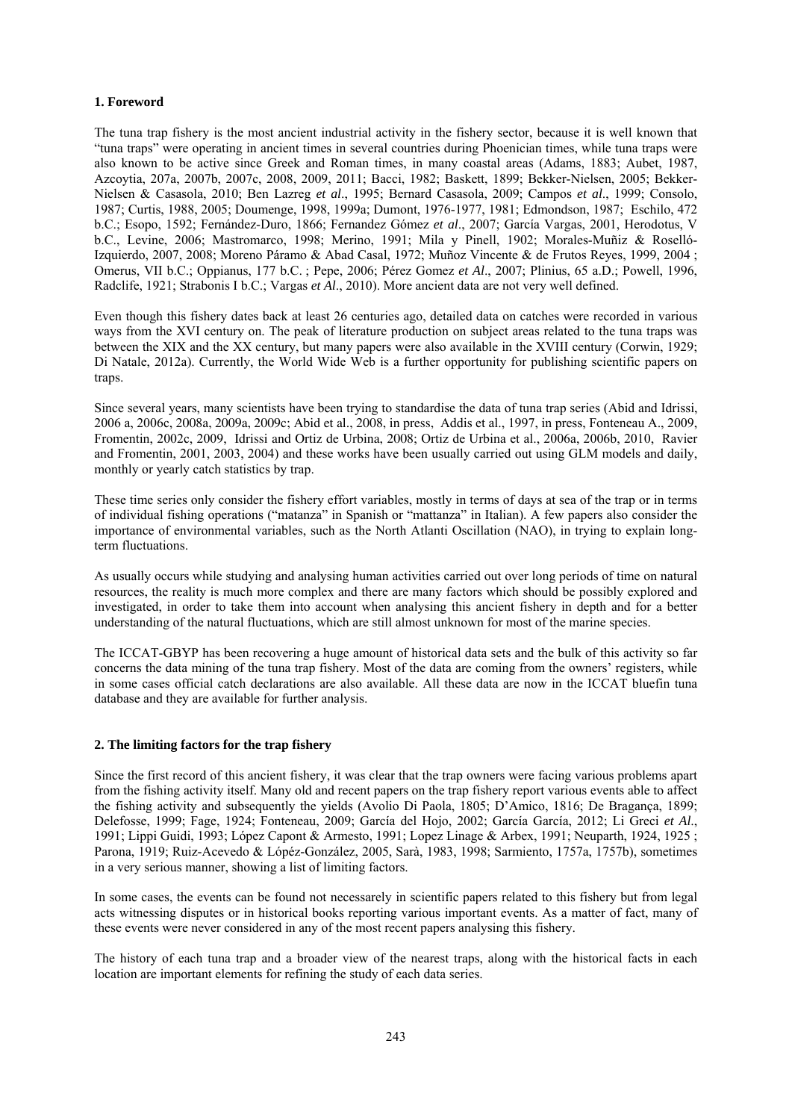## **1. Foreword**

The tuna trap fishery is the most ancient industrial activity in the fishery sector, because it is well known that "tuna traps" were operating in ancient times in several countries during Phoenician times, while tuna traps were also known to be active since Greek and Roman times, in many coastal areas (Adams, 1883; Aubet, 1987, Azcoytia, 207a, 2007b, 2007c, 2008, 2009, 2011; Bacci, 1982; Baskett, 1899; Bekker-Nielsen, 2005; Bekker-Nielsen & Casasola, 2010; Ben Lazreg *et al*., 1995; Bernard Casasola, 2009; Campos *et al*., 1999; Consolo, 1987; Curtis, 1988, 2005; Doumenge, 1998, 1999a; Dumont, 1976-1977, 1981; Edmondson, 1987; Eschilo, 472 b.C.; Esopo, 1592; Fernández-Duro, 1866; Fernandez Gómez *et al*., 2007; García Vargas, 2001, Herodotus, V b.C., Levine, 2006; Mastromarco, 1998; Merino, 1991; Mila y Pinell, 1902; Morales-Muñiz & Roselló-Izquierdo, 2007, 2008; Moreno Páramo & Abad Casal, 1972; Muñoz Vincente & de Frutos Reyes, 1999, 2004 ; Omerus, VII b.C.; Oppianus, 177 b.C. ; Pepe, 2006; Pérez Gomez *et Al*., 2007; Plinius, 65 a.D.; Powell, 1996, Radclife, 1921; Strabonis I b.C.; Vargas *et Al*., 2010). More ancient data are not very well defined.

Even though this fishery dates back at least 26 centuries ago, detailed data on catches were recorded in various ways from the XVI century on. The peak of literature production on subject areas related to the tuna traps was between the XIX and the XX century, but many papers were also available in the XVIII century (Corwin, 1929; Di Natale, 2012a). Currently, the World Wide Web is a further opportunity for publishing scientific papers on traps.

Since several years, many scientists have been trying to standardise the data of tuna trap series (Abid and Idrissi, 2006 a, 2006c, 2008a, 2009a, 2009c; Abid et al., 2008, in press, Addis et al., 1997, in press, Fonteneau A., 2009, Fromentin, 2002c, 2009, Idrissi and Ortiz de Urbina, 2008; Ortiz de Urbina et al., 2006a, 2006b, 2010, Ravier and Fromentin, 2001, 2003, 2004) and these works have been usually carried out using GLM models and daily, monthly or yearly catch statistics by trap.

These time series only consider the fishery effort variables, mostly in terms of days at sea of the trap or in terms of individual fishing operations ("matanza" in Spanish or "mattanza" in Italian). A few papers also consider the importance of environmental variables, such as the North Atlanti Oscillation (NAO), in trying to explain longterm fluctuations.

As usually occurs while studying and analysing human activities carried out over long periods of time on natural resources, the reality is much more complex and there are many factors which should be possibly explored and investigated, in order to take them into account when analysing this ancient fishery in depth and for a better understanding of the natural fluctuations, which are still almost unknown for most of the marine species.

The ICCAT-GBYP has been recovering a huge amount of historical data sets and the bulk of this activity so far concerns the data mining of the tuna trap fishery. Most of the data are coming from the owners' registers, while in some cases official catch declarations are also available. All these data are now in the ICCAT bluefin tuna database and they are available for further analysis.

### **2. The limiting factors for the trap fishery**

Since the first record of this ancient fishery, it was clear that the trap owners were facing various problems apart from the fishing activity itself. Many old and recent papers on the trap fishery report various events able to affect the fishing activity and subsequently the yields (Avolio Di Paola, 1805; D'Amico, 1816; De Bragança, 1899; Delefosse, 1999; Fage, 1924; Fonteneau, 2009; García del Hojo, 2002; García García, 2012; Li Greci *et Al*., 1991; Lippi Guidi, 1993; López Capont & Armesto, 1991; Lopez Linage & Arbex, 1991; Neuparth, 1924, 1925 ; Parona, 1919; Ruiz-Acevedo & Lópéz-González, 2005, Sarà, 1983, 1998; Sarmiento, 1757a, 1757b), sometimes in a very serious manner, showing a list of limiting factors.

In some cases, the events can be found not necessarely in scientific papers related to this fishery but from legal acts witnessing disputes or in historical books reporting various important events. As a matter of fact, many of these events were never considered in any of the most recent papers analysing this fishery.

The history of each tuna trap and a broader view of the nearest traps, along with the historical facts in each location are important elements for refining the study of each data series.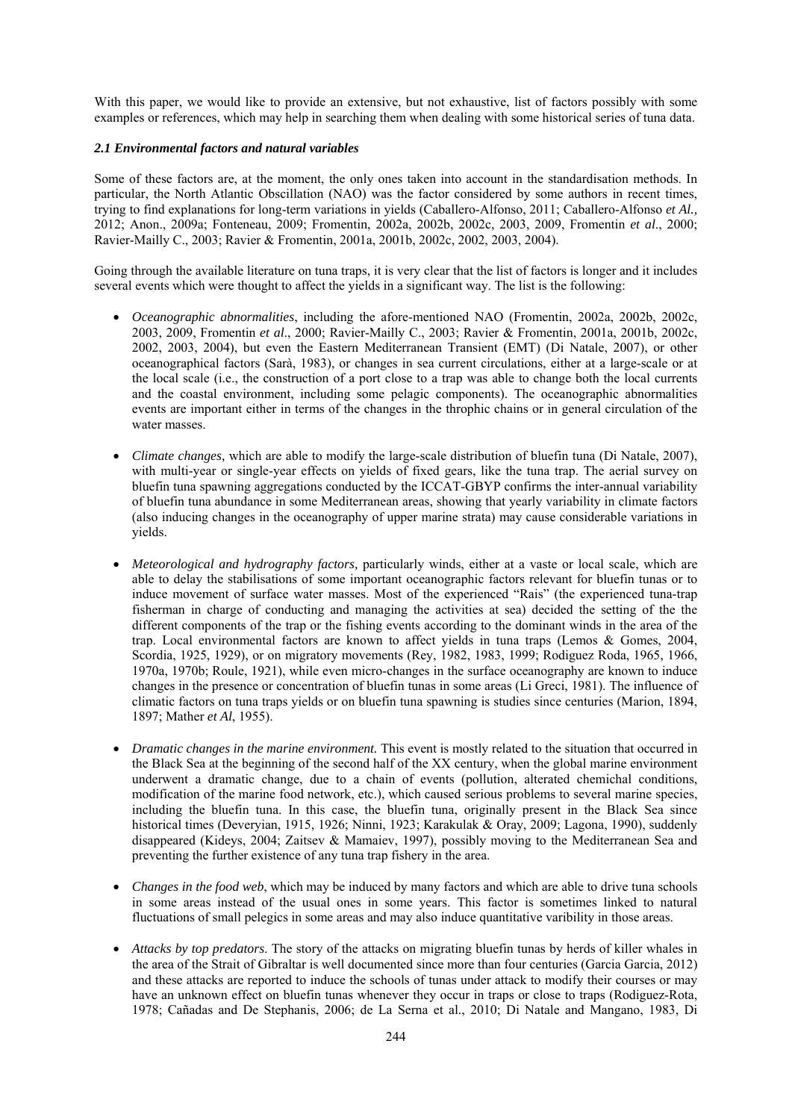With this paper, we would like to provide an extensive, but not exhaustive, list of factors possibly with some examples or references, which may help in searching them when dealing with some historical series of tuna data.

### *2.1 Environmental factors and natural variables*

Some of these factors are, at the moment, the only ones taken into account in the standardisation methods. In particular, the North Atlantic Obscillation (NAO) was the factor considered by some authors in recent times, trying to find explanations for long-term variations in yields (Caballero-Alfonso, 2011; Caballero-Alfonso *et Al.,* 2012; Anon., 2009a; Fonteneau, 2009; Fromentin, 2002a, 2002b, 2002c, 2003, 2009, Fromentin *et al*., 2000; Ravier-Mailly C., 2003; Ravier & Fromentin, 2001a, 2001b, 2002c, 2002, 2003, 2004).

Going through the available literature on tuna traps, it is very clear that the list of factors is longer and it includes several events which were thought to affect the yields in a significant way. The list is the following:

- *Oceanographic abnormalities*, including the afore-mentioned NAO (Fromentin, 2002a, 2002b, 2002c, 2003, 2009, Fromentin *et al*., 2000; Ravier-Mailly C., 2003; Ravier & Fromentin, 2001a, 2001b, 2002c, 2002, 2003, 2004), but even the Eastern Mediterranean Transient (EMT) (Di Natale, 2007), or other oceanographical factors (Sarà, 1983), or changes in sea current circulations, either at a large-scale or at the local scale (i.e., the construction of a port close to a trap was able to change both the local currents and the coastal environment, including some pelagic components). The oceanographic abnormalities events are important either in terms of the changes in the throphic chains or in general circulation of the water masses.
- *Climate changes,* which are able to modify the large-scale distribution of bluefin tuna (Di Natale, 2007), with multi-year or single-year effects on yields of fixed gears, like the tuna trap. The aerial survey on bluefin tuna spawning aggregations conducted by the ICCAT-GBYP confirms the inter-annual variability of bluefin tuna abundance in some Mediterranean areas, showing that yearly variability in climate factors (also inducing changes in the oceanography of upper marine strata) may cause considerable variations in yields.
- *Meteorological and hydrography factors,* particularly winds, either at a vaste or local scale, which are able to delay the stabilisations of some important oceanographic factors relevant for bluefin tunas or to induce movement of surface water masses. Most of the experienced "Rais" (the experienced tuna-trap fisherman in charge of conducting and managing the activities at sea) decided the setting of the the different components of the trap or the fishing events according to the dominant winds in the area of the trap. Local environmental factors are known to affect yields in tuna traps (Lemos & Gomes, 2004, Scordia, 1925, 1929), or on migratory movements (Rey, 1982, 1983, 1999; Rodiguez Roda, 1965, 1966, 1970a, 1970b; Roule, 1921), while even micro-changes in the surface oceanography are known to induce changes in the presence or concentration of bluefin tunas in some areas (Li Greci, 1981). The influence of climatic factors on tuna traps yields or on bluefin tuna spawning is studies since centuries (Marion, 1894, 1897; Mather *et Al*, 1955).
- *Dramatic changes in the marine environment.* This event is mostly related to the situation that occurred in the Black Sea at the beginning of the second half of the XX century, when the global marine environment underwent a dramatic change, due to a chain of events (pollution, alterated chemichal conditions, modification of the marine food network, etc.), which caused serious problems to several marine species, including the bluefin tuna. In this case, the bluefin tuna, originally present in the Black Sea since historical times (Deveryian, 1915, 1926; Ninni, 1923; Karakulak & Oray, 2009; Lagona, 1990), suddenly disappeared (Kideys, 2004; Zaitsev & Mamaiev, 1997), possibly moving to the Mediterranean Sea and preventing the further existence of any tuna trap fishery in the area.
- *Changes in the food web*, which may be induced by many factors and which are able to drive tuna schools in some areas instead of the usual ones in some years. This factor is sometimes linked to natural fluctuations of small pelegics in some areas and may also induce quantitative varibility in those areas.
- *Attacks by top predators*. The story of the attacks on migrating bluefin tunas by herds of killer whales in the area of the Strait of Gibraltar is well documented since more than four centuries (Garcia Garcia, 2012) and these attacks are reported to induce the schools of tunas under attack to modify their courses or may have an unknown effect on bluefin tunas whenever they occur in traps or close to traps (Rodiguez-Rota, 1978; Cañadas and De Stephanis, 2006; de La Serna et al., 2010; Di Natale and Mangano, 1983, Di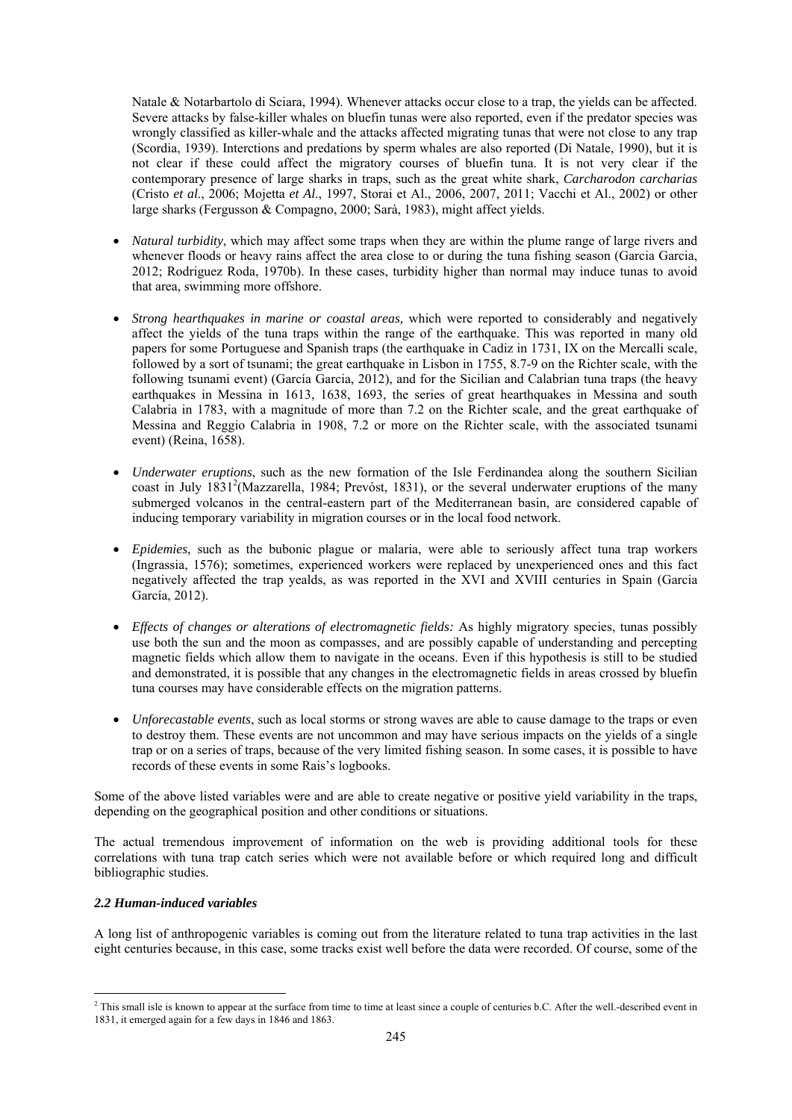Natale & Notarbartolo di Sciara, 1994). Whenever attacks occur close to a trap, the yields can be affected. Severe attacks by false-killer whales on bluefin tunas were also reported, even if the predator species was wrongly classified as killer-whale and the attacks affected migrating tunas that were not close to any trap (Scordia, 1939). Interctions and predations by sperm whales are also reported (Di Natale, 1990), but it is not clear if these could affect the migratory courses of bluefin tuna. It is not very clear if the contemporary presence of large sharks in traps, such as the great white shark, *Carcharodon carcharias* (Cristo *et al*., 2006; Mojetta *et Al*., 1997, Storai et Al., 2006, 2007, 2011; Vacchi et Al., 2002) or other large sharks (Fergusson & Compagno, 2000; Sarà, 1983), might affect yields.

- *Natural turbidity*, which may affect some traps when they are within the plume range of large rivers and whenever floods or heavy rains affect the area close to or during the tuna fishing season (Garcia Garcia, 2012; Rodriguez Roda, 1970b). In these cases, turbidity higher than normal may induce tunas to avoid that area, swimming more offshore.
- *Strong hearthquakes in marine or coastal areas,* which were reported to considerably and negatively affect the yields of the tuna traps within the range of the earthquake. This was reported in many old papers for some Portuguese and Spanish traps (the earthquake in Cadiz in 1731, IX on the Mercalli scale, followed by a sort of tsunami; the great earthquake in Lisbon in 1755, 8.7-9 on the Richter scale, with the following tsunami event) (García Garcia, 2012), and for the Sicilian and Calabrian tuna traps (the heavy earthquakes in Messina in 1613, 1638, 1693, the series of great hearthquakes in Messina and south Calabria in 1783, with a magnitude of more than 7.2 on the Richter scale, and the great earthquake of Messina and Reggio Calabria in 1908, 7.2 or more on the Richter scale, with the associated tsunami event) (Reina, 1658).
- *Underwater eruptions*, such as the new formation of the Isle Ferdinandea along the southern Sicilian coast in July 1831<sup>2</sup>(Mazzarella, 1984; Prevóst, 1831), or the several underwater eruptions of the many submerged volcanos in the central-eastern part of the Mediterranean basin, are considered capable of inducing temporary variability in migration courses or in the local food network.
- *Epidemies*, such as the bubonic plague or malaria, were able to seriously affect tuna trap workers (Ingrassia, 1576); sometimes, experienced workers were replaced by unexperienced ones and this fact negatively affected the trap yealds, as was reported in the XVI and XVIII centuries in Spain (Garcia García, 2012).
- *Effects of changes or alterations of electromagnetic fields:* As highly migratory species, tunas possibly use both the sun and the moon as compasses, and are possibly capable of understanding and percepting magnetic fields which allow them to navigate in the oceans. Even if this hypothesis is still to be studied and demonstrated, it is possible that any changes in the electromagnetic fields in areas crossed by bluefin tuna courses may have considerable effects on the migration patterns.
- *Unforecastable events*, such as local storms or strong waves are able to cause damage to the traps or even to destroy them. These events are not uncommon and may have serious impacts on the yields of a single trap or on a series of traps, because of the very limited fishing season. In some cases, it is possible to have records of these events in some Rais's logbooks.

Some of the above listed variables were and are able to create negative or positive yield variability in the traps, depending on the geographical position and other conditions or situations.

The actual tremendous improvement of information on the web is providing additional tools for these correlations with tuna trap catch series which were not available before or which required long and difficult bibliographic studies.

### *2.2 Human-induced variables*

A long list of anthropogenic variables is coming out from the literature related to tuna trap activities in the last eight centuries because, in this case, some tracks exist well before the data were recorded. Of course, some of the

<sup>1</sup>  $<sup>2</sup>$  This small isle is known to appear at the surface from time to time at least since a couple of centuries b.C. After the well.-described event in</sup> 1831, it emerged again for a few days in 1846 and 1863.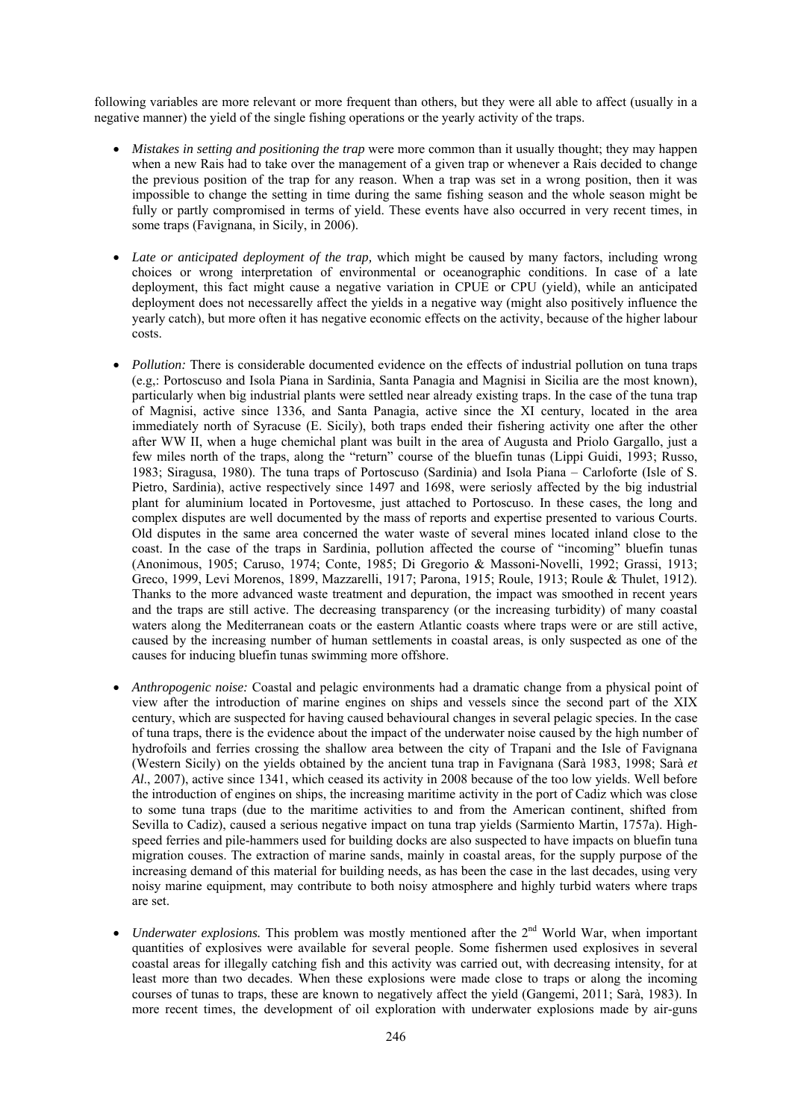following variables are more relevant or more frequent than others, but they were all able to affect (usually in a negative manner) the yield of the single fishing operations or the yearly activity of the traps.

- *Mistakes in setting and positioning the trap* were more common than it usually thought; they may happen when a new Rais had to take over the management of a given trap or whenever a Rais decided to change the previous position of the trap for any reason. When a trap was set in a wrong position, then it was impossible to change the setting in time during the same fishing season and the whole season might be fully or partly compromised in terms of yield. These events have also occurred in very recent times, in some traps (Favignana, in Sicily, in 2006).
- *Late or anticipated deployment of the trap,* which might be caused by many factors, including wrong choices or wrong interpretation of environmental or oceanographic conditions. In case of a late deployment, this fact might cause a negative variation in CPUE or CPU (yield), while an anticipated deployment does not necessarelly affect the yields in a negative way (might also positively influence the yearly catch), but more often it has negative economic effects on the activity, because of the higher labour costs.
- *Pollution:* There is considerable documented evidence on the effects of industrial pollution on tuna traps (e.g,: Portoscuso and Isola Piana in Sardinia, Santa Panagia and Magnisi in Sicilia are the most known), particularly when big industrial plants were settled near already existing traps. In the case of the tuna trap of Magnisi, active since 1336, and Santa Panagia, active since the XI century, located in the area immediately north of Syracuse (E. Sicily), both traps ended their fishering activity one after the other after WW II, when a huge chemichal plant was built in the area of Augusta and Priolo Gargallo, just a few miles north of the traps, along the "return" course of the bluefin tunas (Lippi Guidi, 1993; Russo, 1983; Siragusa, 1980). The tuna traps of Portoscuso (Sardinia) and Isola Piana – Carloforte (Isle of S. Pietro, Sardinia), active respectively since 1497 and 1698, were seriosly affected by the big industrial plant for aluminium located in Portovesme, just attached to Portoscuso. In these cases, the long and complex disputes are well documented by the mass of reports and expertise presented to various Courts. Old disputes in the same area concerned the water waste of several mines located inland close to the coast. In the case of the traps in Sardinia, pollution affected the course of "incoming" bluefin tunas (Anonimous, 1905; Caruso, 1974; Conte, 1985; Di Gregorio & Massoni-Novelli, 1992; Grassi, 1913; Greco, 1999, Levi Morenos, 1899, Mazzarelli, 1917; Parona, 1915; Roule, 1913; Roule & Thulet, 1912). Thanks to the more advanced waste treatment and depuration, the impact was smoothed in recent years and the traps are still active. The decreasing transparency (or the increasing turbidity) of many coastal waters along the Mediterranean coats or the eastern Atlantic coasts where traps were or are still active, caused by the increasing number of human settlements in coastal areas, is only suspected as one of the causes for inducing bluefin tunas swimming more offshore.
- *Anthropogenic noise:* Coastal and pelagic environments had a dramatic change from a physical point of view after the introduction of marine engines on ships and vessels since the second part of the XIX century, which are suspected for having caused behavioural changes in several pelagic species. In the case of tuna traps, there is the evidence about the impact of the underwater noise caused by the high number of hydrofoils and ferries crossing the shallow area between the city of Trapani and the Isle of Favignana (Western Sicily) on the yields obtained by the ancient tuna trap in Favignana (Sarà 1983, 1998; Sarà *et Al*., 2007), active since 1341, which ceased its activity in 2008 because of the too low yields. Well before the introduction of engines on ships, the increasing maritime activity in the port of Cadiz which was close to some tuna traps (due to the maritime activities to and from the American continent, shifted from Sevilla to Cadiz), caused a serious negative impact on tuna trap yields (Sarmiento Martin, 1757a). Highspeed ferries and pile-hammers used for building docks are also suspected to have impacts on bluefin tuna migration couses. The extraction of marine sands, mainly in coastal areas, for the supply purpose of the increasing demand of this material for building needs, as has been the case in the last decades, using very noisy marine equipment, may contribute to both noisy atmosphere and highly turbid waters where traps are set.
- *Underwater explosions.* This problem was mostly mentioned after the  $2<sup>nd</sup>$  World War, when important quantities of explosives were available for several people. Some fishermen used explosives in several coastal areas for illegally catching fish and this activity was carried out, with decreasing intensity, for at least more than two decades. When these explosions were made close to traps or along the incoming courses of tunas to traps, these are known to negatively affect the yield (Gangemi, 2011; Sarà, 1983). In more recent times, the development of oil exploration with underwater explosions made by air-guns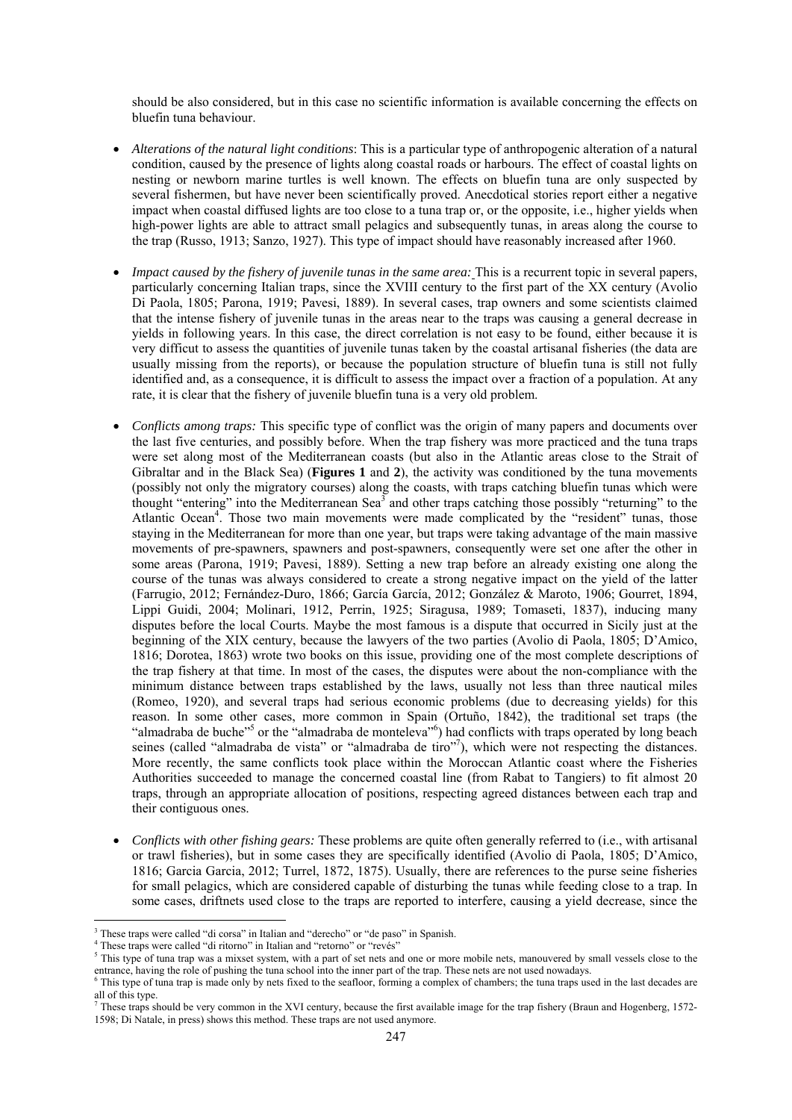should be also considered, but in this case no scientific information is available concerning the effects on bluefin tuna behaviour.

- *Alterations of the natural light conditions*: This is a particular type of anthropogenic alteration of a natural condition, caused by the presence of lights along coastal roads or harbours. The effect of coastal lights on nesting or newborn marine turtles is well known. The effects on bluefin tuna are only suspected by several fishermen, but have never been scientifically proved. Anecdotical stories report either a negative impact when coastal diffused lights are too close to a tuna trap or, or the opposite, i.e., higher yields when high-power lights are able to attract small pelagics and subsequently tunas, in areas along the course to the trap (Russo, 1913; Sanzo, 1927). This type of impact should have reasonably increased after 1960.
- *Impact caused by the fishery of juvenile tunas in the same area:* This is a recurrent topic in several papers, particularly concerning Italian traps, since the XVIII century to the first part of the XX century (Avolio Di Paola, 1805; Parona, 1919; Pavesi, 1889). In several cases, trap owners and some scientists claimed that the intense fishery of juvenile tunas in the areas near to the traps was causing a general decrease in yields in following years. In this case, the direct correlation is not easy to be found, either because it is very difficut to assess the quantities of juvenile tunas taken by the coastal artisanal fisheries (the data are usually missing from the reports), or because the population structure of bluefin tuna is still not fully identified and, as a consequence, it is difficult to assess the impact over a fraction of a population. At any rate, it is clear that the fishery of juvenile bluefin tuna is a very old problem.
- *Conflicts among traps:* This specific type of conflict was the origin of many papers and documents over the last five centuries, and possibly before. When the trap fishery was more practiced and the tuna traps were set along most of the Mediterranean coasts (but also in the Atlantic areas close to the Strait of Gibraltar and in the Black Sea) (**Figures 1** and **2**), the activity was conditioned by the tuna movements (possibly not only the migratory courses) along the coasts, with traps catching bluefin tunas which were thought "entering" into the Mediterranean Sea<sup>3</sup> and other traps catching those possibly "returning" to the Atlantic Ocean<sup>4</sup>. Those two main movements were made complicated by the "resident" tunas, those staying in the Mediterranean for more than one year, but traps were taking advantage of the main massive movements of pre-spawners, spawners and post-spawners, consequently were set one after the other in some areas (Parona, 1919; Pavesi, 1889). Setting a new trap before an already existing one along the course of the tunas was always considered to create a strong negative impact on the yield of the latter (Farrugio, 2012; Fernández-Duro, 1866; García García, 2012; González & Maroto, 1906; Gourret, 1894, Lippi Guidi, 2004; Molinari, 1912, Perrin, 1925; Siragusa, 1989; Tomaseti, 1837), inducing many disputes before the local Courts. Maybe the most famous is a dispute that occurred in Sicily just at the beginning of the XIX century, because the lawyers of the two parties (Avolio di Paola, 1805; D'Amico, 1816; Dorotea, 1863) wrote two books on this issue, providing one of the most complete descriptions of the trap fishery at that time. In most of the cases, the disputes were about the non-compliance with the minimum distance between traps established by the laws, usually not less than three nautical miles (Romeo, 1920), and several traps had serious economic problems (due to decreasing yields) for this reason. In some other cases, more common in Spain (Ortuño, 1842), the traditional set traps (the "almadraba de buche"<sup>5</sup> or the "almadraba de monteleva"<sup>6</sup>) had conflicts with traps operated by long beach seines (called "almadraba de vista" or "almadraba de tiro"<sup>7</sup>), which were not respecting the distances. More recently, the same conflicts took place within the Moroccan Atlantic coast where the Fisheries Authorities succeeded to manage the concerned coastal line (from Rabat to Tangiers) to fit almost 20 traps, through an appropriate allocation of positions, respecting agreed distances between each trap and their contiguous ones.
- *Conflicts with other fishing gears:* These problems are quite often generally referred to (i.e., with artisanal or trawl fisheries), but in some cases they are specifically identified (Avolio di Paola, 1805; D'Amico, 1816; Garcia Garcia, 2012; Turrel, 1872, 1875). Usually, there are references to the purse seine fisheries for small pelagics, which are considered capable of disturbing the tunas while feeding close to a trap. In some cases, driftnets used close to the traps are reported to interfere, causing a yield decrease, since the

1

<sup>&</sup>lt;sup>3</sup> These traps were called "di corsa" in Italian and "derecho" or "de paso" in Spanish.<br><sup>4</sup> These traps were called "di ritorno" in Italian and "retorno" or "revies"

<sup>&</sup>lt;sup>4</sup> These traps were called "di ritorno" in Italian and "retorno" or "revés"

This type of tuna trap was a mixset system, with a part of set nets and one or more mobile nets, manouvered by small vessels close to the entrance, having the role of pushing the tuna school into the inner part of the trap. These nets are not used nowadays. 6

<sup>&</sup>lt;sup>6</sup> This type of tuna trap is made only by nets fixed to the seafloor, forming a complex of chambers; the tuna traps used in the last decades are all of this type.<br><sup>7</sup> These traps should be very common in the XVI century, because the first available image for the trap fishery (Braun and Hogenberg, 1572-

<sup>1598;</sup> Di Natale, in press) shows this method. These traps are not used anymore.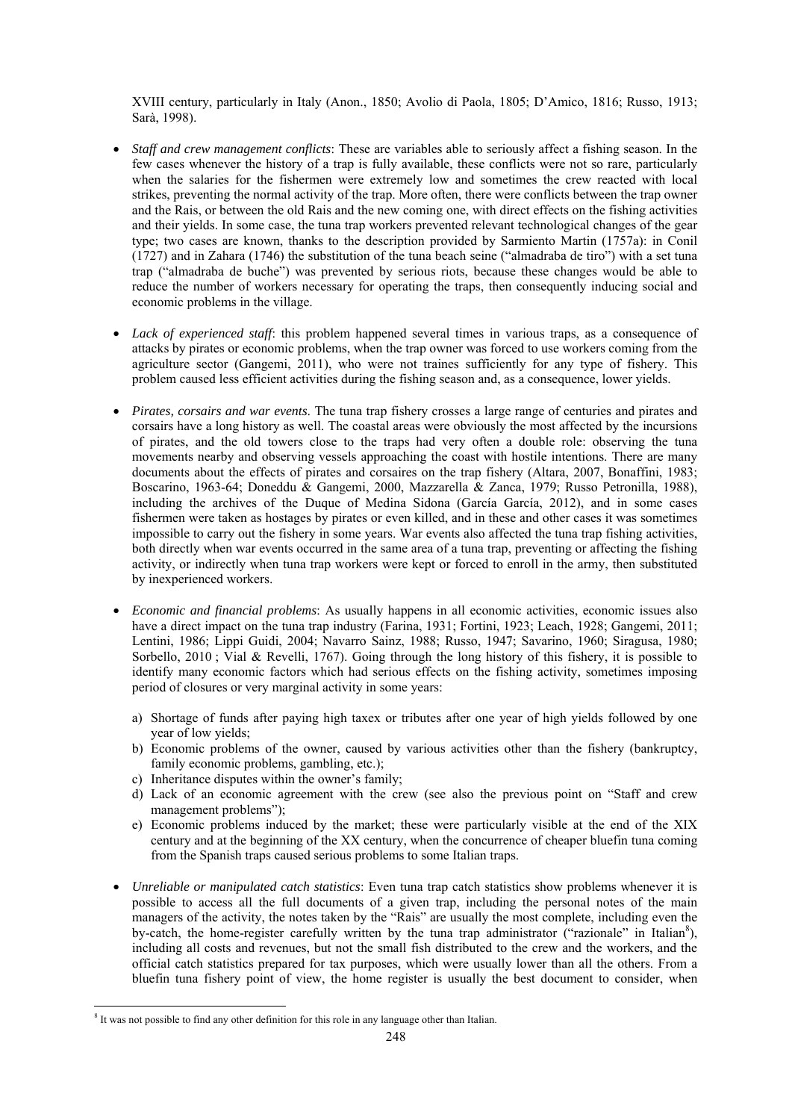XVIII century, particularly in Italy (Anon., 1850; Avolio di Paola, 1805; D'Amico, 1816; Russo, 1913; Sarà, 1998).

- *Staff and crew management conflicts*: These are variables able to seriously affect a fishing season. In the few cases whenever the history of a trap is fully available, these conflicts were not so rare, particularly when the salaries for the fishermen were extremely low and sometimes the crew reacted with local strikes, preventing the normal activity of the trap. More often, there were conflicts between the trap owner and the Rais, or between the old Rais and the new coming one, with direct effects on the fishing activities and their yields. In some case, the tuna trap workers prevented relevant technological changes of the gear type; two cases are known, thanks to the description provided by Sarmiento Martin (1757a): in Conil (1727) and in Zahara (1746) the substitution of the tuna beach seine ("almadraba de tiro") with a set tuna trap ("almadraba de buche") was prevented by serious riots, because these changes would be able to reduce the number of workers necessary for operating the traps, then consequently inducing social and economic problems in the village.
- *Lack of experienced staff*: this problem happened several times in various traps, as a consequence of attacks by pirates or economic problems, when the trap owner was forced to use workers coming from the agriculture sector (Gangemi, 2011), who were not traines sufficiently for any type of fishery. This problem caused less efficient activities during the fishing season and, as a consequence, lower yields.
- *Pirates, corsairs and war events*. The tuna trap fishery crosses a large range of centuries and pirates and corsairs have a long history as well. The coastal areas were obviously the most affected by the incursions of pirates, and the old towers close to the traps had very often a double role: observing the tuna movements nearby and observing vessels approaching the coast with hostile intentions. There are many documents about the effects of pirates and corsaires on the trap fishery (Altara, 2007, Bonaffini, 1983; Boscarino, 1963-64; Doneddu & Gangemi, 2000, Mazzarella & Zanca, 1979; Russo Petronilla, 1988), including the archives of the Duque of Medina Sidona (García García, 2012), and in some cases fishermen were taken as hostages by pirates or even killed, and in these and other cases it was sometimes impossible to carry out the fishery in some years. War events also affected the tuna trap fishing activities, both directly when war events occurred in the same area of a tuna trap, preventing or affecting the fishing activity, or indirectly when tuna trap workers were kept or forced to enroll in the army, then substituted by inexperienced workers.
- *Economic and financial problems*: As usually happens in all economic activities, economic issues also have a direct impact on the tuna trap industry (Farina, 1931; Fortini, 1923; Leach, 1928; Gangemi, 2011; Lentini, 1986; Lippi Guidi, 2004; Navarro Sainz, 1988; Russo, 1947; Savarino, 1960; Siragusa, 1980; Sorbello, 2010; Vial & Revelli, 1767). Going through the long history of this fishery, it is possible to identify many economic factors which had serious effects on the fishing activity, sometimes imposing period of closures or very marginal activity in some years:
	- a) Shortage of funds after paying high taxex or tributes after one year of high yields followed by one year of low yields;
	- b) Economic problems of the owner, caused by various activities other than the fishery (bankruptcy, family economic problems, gambling, etc.);
	- c) Inheritance disputes within the owner's family;
	- d) Lack of an economic agreement with the crew (see also the previous point on "Staff and crew management problems");
	- e) Economic problems induced by the market; these were particularly visible at the end of the XIX century and at the beginning of the XX century, when the concurrence of cheaper bluefin tuna coming from the Spanish traps caused serious problems to some Italian traps.
- *Unreliable or manipulated catch statistics*: Even tuna trap catch statistics show problems whenever it is possible to access all the full documents of a given trap, including the personal notes of the main managers of the activity, the notes taken by the "Rais" are usually the most complete, including even the by-catch, the home-register carefully written by the tuna trap administrator ("razionale" in Italian<sup>8</sup>), including all costs and revenues, but not the small fish distributed to the crew and the workers, and the official catch statistics prepared for tax purposes, which were usually lower than all the others. From a bluefin tuna fishery point of view, the home register is usually the best document to consider, when

<u>.</u>

<sup>&</sup>lt;sup>8</sup> It was not possible to find any other definition for this role in any language other than Italian.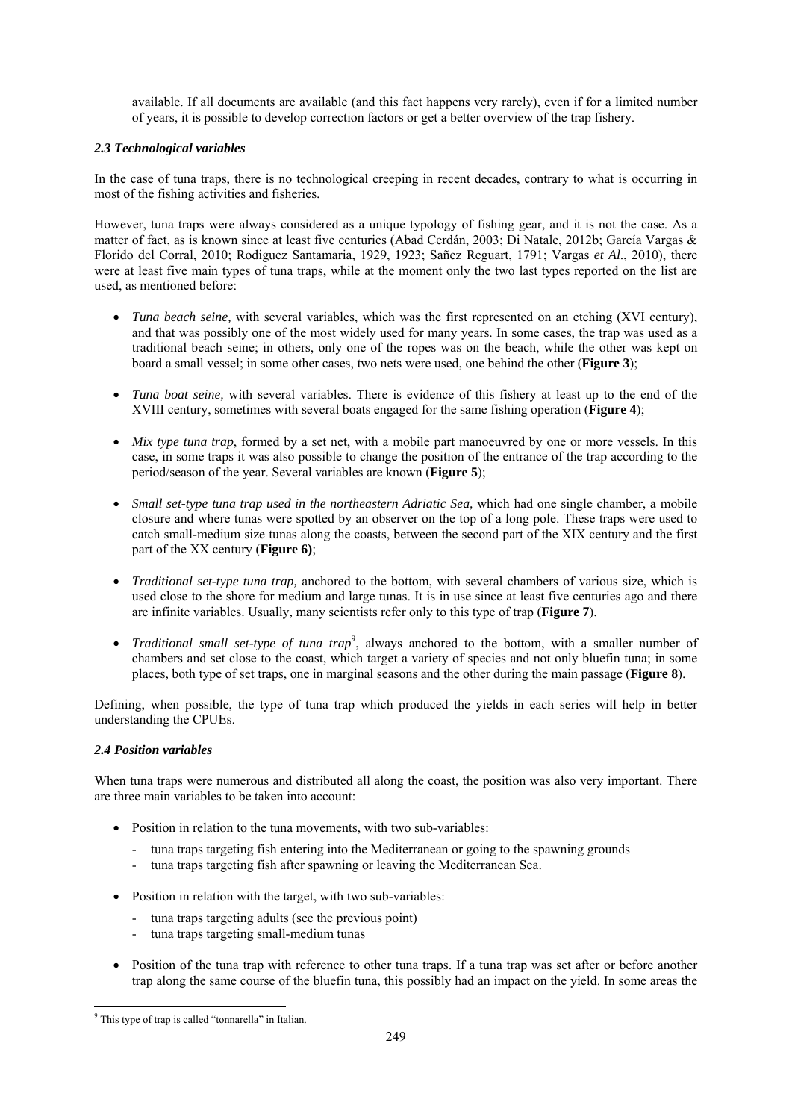available. If all documents are available (and this fact happens very rarely), even if for a limited number of years, it is possible to develop correction factors or get a better overview of the trap fishery.

# *2.3 Technological variables*

In the case of tuna traps, there is no technological creeping in recent decades, contrary to what is occurring in most of the fishing activities and fisheries.

However, tuna traps were always considered as a unique typology of fishing gear, and it is not the case. As a matter of fact, as is known since at least five centuries (Abad Cerdán, 2003; Di Natale, 2012b; García Vargas & Florido del Corral, 2010; Rodiguez Santamaria, 1929, 1923; Sañez Reguart, 1791; Vargas *et Al*., 2010), there were at least five main types of tuna traps, while at the moment only the two last types reported on the list are used, as mentioned before:

- *Tuna beach seine,* with several variables, which was the first represented on an etching (XVI century), and that was possibly one of the most widely used for many years. In some cases, the trap was used as a traditional beach seine; in others, only one of the ropes was on the beach, while the other was kept on board a small vessel; in some other cases, two nets were used, one behind the other (**Figure 3**);
- *Tuna boat seine,* with several variables. There is evidence of this fishery at least up to the end of the XVIII century, sometimes with several boats engaged for the same fishing operation (**Figure 4**);
- *Mix type tuna trap*, formed by a set net, with a mobile part manoeuvred by one or more vessels. In this case, in some traps it was also possible to change the position of the entrance of the trap according to the period/season of the year. Several variables are known (**Figure 5**);
- *Small set-type tuna trap used in the northeastern Adriatic Sea,* which had one single chamber, a mobile closure and where tunas were spotted by an observer on the top of a long pole. These traps were used to catch small-medium size tunas along the coasts, between the second part of the XIX century and the first part of the XX century (**Figure 6)**;
- *Traditional set-type tuna trap,* anchored to the bottom, with several chambers of various size, which is used close to the shore for medium and large tunas. It is in use since at least five centuries ago and there are infinite variables. Usually, many scientists refer only to this type of trap (**Figure 7**).
- *Traditional small set-type of tuna trap*<sup>9</sup>, always anchored to the bottom, with a smaller number of chambers and set close to the coast, which target a variety of species and not only bluefin tuna; in some places, both type of set traps, one in marginal seasons and the other during the main passage (**Figure 8**).

Defining, when possible, the type of tuna trap which produced the yields in each series will help in better understanding the CPUEs.

## *2.4 Position variables*

When tuna traps were numerous and distributed all along the coast, the position was also very important. There are three main variables to be taken into account:

- Position in relation to the tuna movements, with two sub-variables:
	- tuna traps targeting fish entering into the Mediterranean or going to the spawning grounds
	- tuna traps targeting fish after spawning or leaving the Mediterranean Sea.
- Position in relation with the target, with two sub-variables:
	- tuna traps targeting adults (see the previous point)
	- tuna traps targeting small-medium tunas
- Position of the tuna trap with reference to other tuna traps. If a tuna trap was set after or before another trap along the same course of the bluefin tuna, this possibly had an impact on the yield. In some areas the

<sup>&</sup>lt;u>.</u> 9 This type of trap is called "tonnarella" in Italian.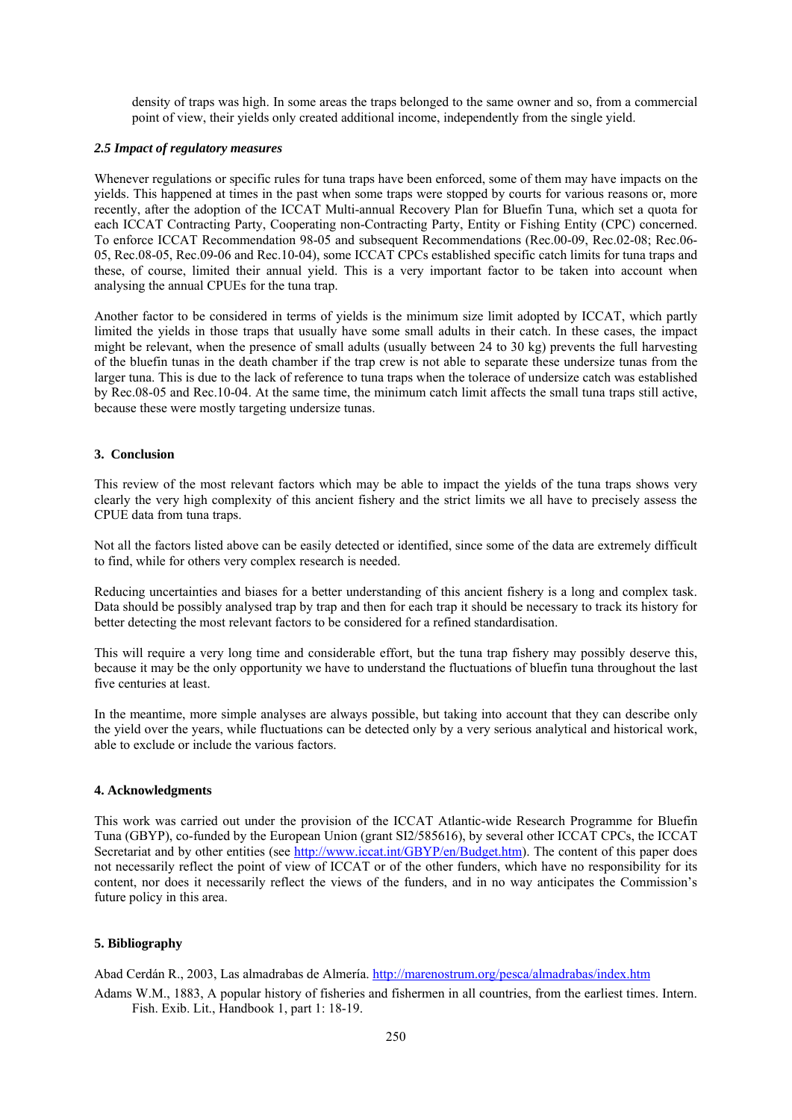density of traps was high. In some areas the traps belonged to the same owner and so, from a commercial point of view, their yields only created additional income, independently from the single yield.

#### *2.5 Impact of regulatory measures*

Whenever regulations or specific rules for tuna traps have been enforced, some of them may have impacts on the yields. This happened at times in the past when some traps were stopped by courts for various reasons or, more recently, after the adoption of the ICCAT Multi-annual Recovery Plan for Bluefin Tuna, which set a quota for each ICCAT Contracting Party, Cooperating non-Contracting Party, Entity or Fishing Entity (CPC) concerned. To enforce ICCAT Recommendation 98-05 and subsequent Recommendations (Rec.00-09, Rec.02-08; Rec.06- 05, Rec.08-05, Rec.09-06 and Rec.10-04), some ICCAT CPCs established specific catch limits for tuna traps and these, of course, limited their annual yield. This is a very important factor to be taken into account when analysing the annual CPUEs for the tuna trap.

Another factor to be considered in terms of yields is the minimum size limit adopted by ICCAT, which partly limited the yields in those traps that usually have some small adults in their catch. In these cases, the impact might be relevant, when the presence of small adults (usually between 24 to 30 kg) prevents the full harvesting of the bluefin tunas in the death chamber if the trap crew is not able to separate these undersize tunas from the larger tuna. This is due to the lack of reference to tuna traps when the tolerace of undersize catch was established by Rec.08-05 and Rec.10-04. At the same time, the minimum catch limit affects the small tuna traps still active, because these were mostly targeting undersize tunas.

#### **3. Conclusion**

This review of the most relevant factors which may be able to impact the yields of the tuna traps shows very clearly the very high complexity of this ancient fishery and the strict limits we all have to precisely assess the CPUE data from tuna traps.

Not all the factors listed above can be easily detected or identified, since some of the data are extremely difficult to find, while for others very complex research is needed.

Reducing uncertainties and biases for a better understanding of this ancient fishery is a long and complex task. Data should be possibly analysed trap by trap and then for each trap it should be necessary to track its history for better detecting the most relevant factors to be considered for a refined standardisation.

This will require a very long time and considerable effort, but the tuna trap fishery may possibly deserve this, because it may be the only opportunity we have to understand the fluctuations of bluefin tuna throughout the last five centuries at least.

In the meantime, more simple analyses are always possible, but taking into account that they can describe only the yield over the years, while fluctuations can be detected only by a very serious analytical and historical work, able to exclude or include the various factors.

#### **4. Acknowledgments**

This work was carried out under the provision of the ICCAT Atlantic-wide Research Programme for Bluefin Tuna (GBYP), co-funded by the European Union (grant SI2/585616), by several other ICCAT CPCs, the ICCAT Secretariat and by other entities (see http://www.iccat.int/GBYP/en/Budget.htm). The content of this paper does not necessarily reflect the point of view of ICCAT or of the other funders, which have no responsibility for its content, nor does it necessarily reflect the views of the funders, and in no way anticipates the Commission's future policy in this area.

### **5. Bibliography**

Abad Cerdán R., 2003, Las almadrabas de Almería. http://marenostrum.org/pesca/almadrabas/index.htm

Adams W.M., 1883, A popular history of fisheries and fishermen in all countries, from the earliest times. Intern. Fish. Exib. Lit., Handbook 1, part 1: 18-19.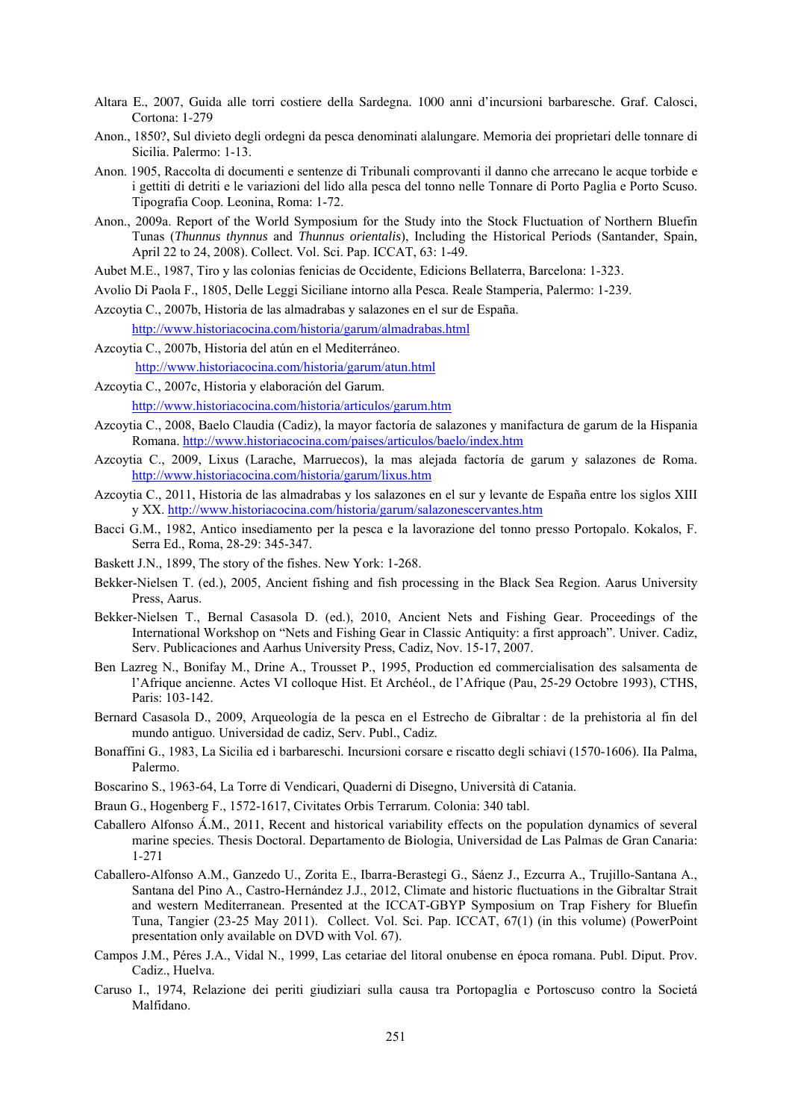- Altara E., 2007, Guida alle torri costiere della Sardegna. 1000 anni d'incursioni barbaresche. Graf. Calosci, Cortona: 1-279
- Anon., 1850?, Sul divieto degli ordegni da pesca denominati alalungare. Memoria dei proprietari delle tonnare di Sicilia. Palermo: 1-13.
- Anon. 1905, Raccolta di documenti e sentenze di Tribunali comprovanti il danno che arrecano le acque torbide e i gettiti di detriti e le variazioni del lido alla pesca del tonno nelle Tonnare di Porto Paglia e Porto Scuso. Tipografia Coop. Leonina, Roma: 1-72.
- Anon., 2009a. Report of the World Symposium for the Study into the Stock Fluctuation of Northern Bluefin Tunas (*Thunnus thynnus* and *Thunnus orientalis*), Including the Historical Periods (Santander, Spain, April 22 to 24, 2008). Collect. Vol. Sci. Pap. ICCAT, 63: 1-49.
- Aubet M.E., 1987, Tiro y las colonias fenicias de Occidente, Edicions Bellaterra, Barcelona: 1-323.
- Avolio Di Paola F., 1805, Delle Leggi Siciliane intorno alla Pesca. Reale Stamperia, Palermo: 1-239.
- Azcoytia C., 2007b, Historia de las almadrabas y salazones en el sur de España. http://www.historiacocina.com/historia/garum/almadrabas.html
- Azcoytia C., 2007b, Historia del atún en el Mediterráneo. http://www.historiacocina.com/historia/garum/atun.html
- Azcoytia C., 2007c, Historia y elaboración del Garum.

http://www.historiacocina.com/historia/articulos/garum.htm

- Azcoytia C., 2008, Baelo Claudia (Cadiz), la mayor factoría de salazones y manifactura de garum de la Hispania Romana. http://www.historiacocina.com/paises/articulos/baelo/index.htm
- Azcoytia C., 2009, Lixus (Larache, Marruecos), la mas alejada factoría de garum y salazones de Roma. http://www.historiacocina.com/historia/garum/lixus.htm
- Azcoytia C., 2011, Historia de las almadrabas y los salazones en el sur y levante de España entre los siglos XIII y XX. http://www.historiacocina.com/historia/garum/salazonescervantes.htm
- Bacci G.M., 1982, Antico insediamento per la pesca e la lavorazione del tonno presso Portopalo. Kokalos, F. Serra Ed., Roma, 28-29: 345-347.
- Baskett J.N., 1899, The story of the fishes. New York: 1-268.
- Bekker-Nielsen T. (ed.), 2005, Ancient fishing and fish processing in the Black Sea Region. Aarus University Press, Aarus.
- Bekker-Nielsen T., Bernal Casasola D. (ed.), 2010, Ancient Nets and Fishing Gear. Proceedings of the International Workshop on "Nets and Fishing Gear in Classic Antiquity: a first approach". Univer. Cadiz, Serv. Publicaciones and Aarhus University Press, Cadiz, Nov. 15-17, 2007.
- Ben Lazreg N., Bonifay M., Drine A., Trousset P., 1995, Production ed commercialisation des salsamenta de l'Afrique ancienne. Actes VI colloque Hist. Et Archéol., de l'Afrique (Pau, 25-29 Octobre 1993), CTHS, Paris: 103-142.
- Bernard Casasola D., 2009, Arqueología de la pesca en el Estrecho de Gibraltar : de la prehistoria al fin del mundo antiguo. Universidad de cadiz, Serv. Publ., Cadiz.
- Bonaffini G., 1983, La Sicilia ed i barbareschi. Incursioni corsare e riscatto degli schiavi (1570-1606). IIa Palma, Palermo.
- Boscarino S., 1963-64, La Torre di Vendicari, Quaderni di Disegno, Università di Catania.
- Braun G., Hogenberg F., 1572-1617, Civitates Orbis Terrarum. Colonia: 340 tabl.
- Caballero Alfonso Á.M., 2011, Recent and historical variability effects on the population dynamics of several marine species. Thesis Doctoral. Departamento de Biologia, Universidad de Las Palmas de Gran Canaria: 1-271
- Caballero-Alfonso A.M., Ganzedo U., Zorita E., Ibarra-Berastegi G., Sáenz J., Ezcurra A., Trujillo-Santana A., Santana del Pino A., Castro-Hernández J.J., 2012, Climate and historic fluctuations in the Gibraltar Strait and western Mediterranean. Presented at the ICCAT-GBYP Symposium on Trap Fishery for Bluefin Tuna, Tangier (23-25 May 2011). Collect. Vol. Sci. Pap. ICCAT, 67(1) (in this volume) (PowerPoint presentation only available on DVD with Vol. 67).
- Campos J.M., Péres J.A., Vidal N., 1999, Las cetariae del litoral onubense en época romana. Publ. Diput. Prov. Cadiz., Huelva.
- Caruso I., 1974, Relazione dei periti giudiziari sulla causa tra Portopaglia e Portoscuso contro la Societá Malfidano.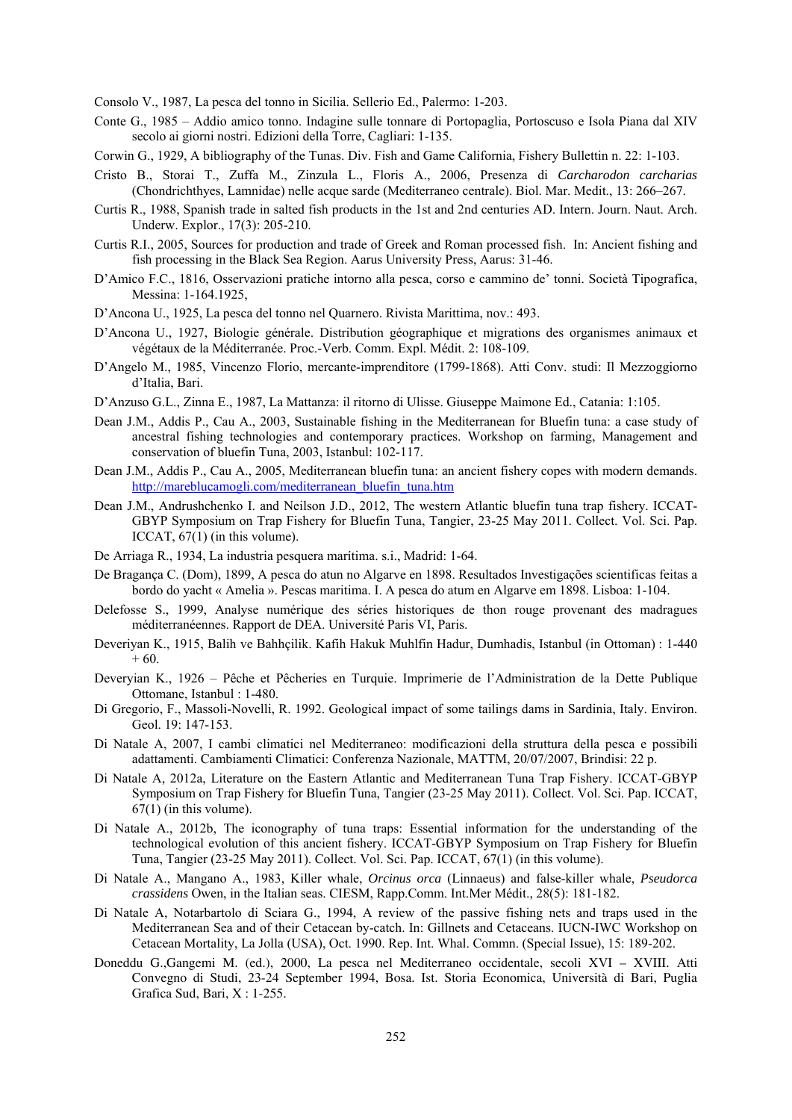Consolo V., 1987, La pesca del tonno in Sicilia. Sellerio Ed., Palermo: 1-203.

- Conte G., 1985 Addio amico tonno. Indagine sulle tonnare di Portopaglia, Portoscuso e Isola Piana dal XIV secolo ai giorni nostri. Edizioni della Torre, Cagliari: 1-135.
- Corwin G., 1929, A bibliography of the Tunas. Div. Fish and Game California, Fishery Bullettin n. 22: 1-103.
- Cristo B., Storai T., Zuffa M., Zinzula L., Floris A., 2006, Presenza di *Carcharodon carcharias* (Chondrichthyes, Lamnidae) nelle acque sarde (Mediterraneo centrale). Biol. Mar. Medit., 13: 266–267.
- Curtis R., 1988, Spanish trade in salted fish products in the 1st and 2nd centuries AD. Intern. Journ. Naut. Arch. Underw. Explor., 17(3): 205-210.
- Curtis R.I., 2005, Sources for production and trade of Greek and Roman processed fish. In: Ancient fishing and fish processing in the Black Sea Region. Aarus University Press, Aarus: 31-46.
- D'Amico F.C., 1816, Osservazioni pratiche intorno alla pesca, corso e cammino de' tonni. Società Tipografica, Messina: 1-164.1925,
- D'Ancona U., 1925, La pesca del tonno nel Quarnero. Rivista Marittima, nov.: 493.
- D'Ancona U., 1927, Biologie générale. Distribution géographique et migrations des organismes animaux et végétaux de la Méditerranée. Proc.-Verb. Comm. Expl. Médit. 2: 108-109.
- D'Angelo M., 1985, Vincenzo Florio, mercante-imprenditore (1799-1868). Atti Conv. studi: Il Mezzoggiorno d'Italia, Bari.
- D'Anzuso G.L., Zinna E., 1987, La Mattanza: il ritorno di Ulisse. Giuseppe Maimone Ed., Catania: 1:105.
- Dean J.M., Addis P., Cau A., 2003, Sustainable fishing in the Mediterranean for Bluefin tuna: a case study of ancestral fishing technologies and contemporary practices. Workshop on farming, Management and conservation of bluefin Tuna, 2003, Istanbul: 102-117.
- Dean J.M., Addis P., Cau A., 2005, Mediterranean bluefin tuna: an ancient fishery copes with modern demands. http://mareblucamogli.com/mediterranean\_bluefin\_tuna.htm
- Dean J.M., Andrushchenko I. and Neilson J.D., 2012, The western Atlantic bluefin tuna trap fishery. ICCAT-GBYP Symposium on Trap Fishery for Bluefin Tuna, Tangier, 23-25 May 2011. Collect. Vol. Sci. Pap. ICCAT,  $67(1)$  (in this volume).
- De Arriaga R., 1934, La industria pesquera marítima. s.i., Madrid: 1-64.
- De Bragança C. (Dom), 1899, A pesca do atun no Algarve en 1898. Resultados Investigações scientificas feitas a bordo do yacht « Amelia ». Pescas maritima. I. A pesca do atum en Algarve em 1898. Lisboa: 1-104.
- Delefosse S., 1999, Analyse numérique des séries historiques de thon rouge provenant des madragues méditerranéennes. Rapport de DEA. Université Paris VI, Paris.
- Deveriyan K., 1915, Balih ve Bahhçilik. Kafih Hakuk Muhlfin Hadur, Dumhadis, Istanbul (in Ottoman) : 1-440 + 60.
- Deveryian K., 1926 Pêche et Pêcheries en Turquie. Imprimerie de l'Administration de la Dette Publique Ottomane, Istanbul : 1-480.
- Di Gregorio, F., Massoli-Novelli, R. 1992. Geological impact of some tailings dams in Sardinia, Italy. Environ. Geol. 19: 147-153.
- Di Natale A, 2007, I cambi climatici nel Mediterraneo: modificazioni della struttura della pesca e possibili adattamenti. Cambiamenti Climatici: Conferenza Nazionale, MATTM, 20/07/2007, Brindisi: 22 p.
- Di Natale A, 2012a, Literature on the Eastern Atlantic and Mediterranean Tuna Trap Fishery. ICCAT-GBYP Symposium on Trap Fishery for Bluefin Tuna, Tangier (23-25 May 2011). Collect. Vol. Sci. Pap. ICCAT,  $67(1)$  (in this volume).
- Di Natale A., 2012b, The iconography of tuna traps: Essential information for the understanding of the technological evolution of this ancient fishery. ICCAT-GBYP Symposium on Trap Fishery for Bluefin Tuna, Tangier (23-25 May 2011). Collect. Vol. Sci. Pap. ICCAT, 67(1) (in this volume).
- Di Natale A., Mangano A., 1983, Killer whale, *Orcinus orca* (Linnaeus) and false-killer whale, *Pseudorca crassidens* Owen, in the Italian seas. CIESM, Rapp.Comm. Int.Mer Médit., 28(5): 181-182.
- Di Natale A, Notarbartolo di Sciara G., 1994, A review of the passive fishing nets and traps used in the Mediterranean Sea and of their Cetacean by-catch. In: Gillnets and Cetaceans. IUCN-IWC Workshop on Cetacean Mortality, La Jolla (USA), Oct. 1990. Rep. Int. Whal. Commn. (Special Issue), 15: 189-202.
- Doneddu G.,Gangemi M. (ed.), 2000, La pesca nel Mediterraneo occidentale, secoli XVI XVIII. Atti Convegno di Studi, 23-24 September 1994, Bosa. Ist. Storia Economica, Università di Bari, Puglia Grafica Sud, Bari, X : 1-255.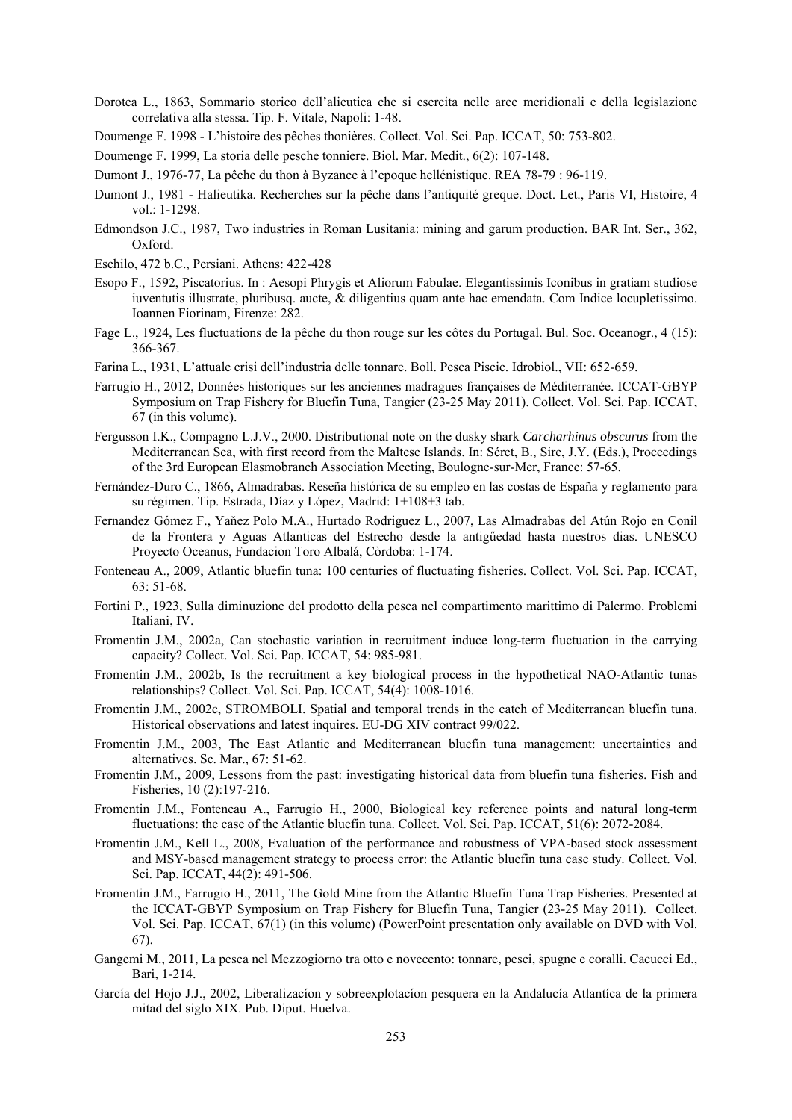- Dorotea L., 1863, Sommario storico dell'alieutica che si esercita nelle aree meridionali e della legislazione correlativa alla stessa. Tip. F. Vitale, Napoli: 1-48.
- Doumenge F. 1998 L'histoire des pêches thonières. Collect. Vol. Sci. Pap. ICCAT, 50: 753-802.

Doumenge F. 1999, La storia delle pesche tonniere. Biol. Mar. Medit., 6(2): 107-148.

- Dumont J., 1976-77, La pêche du thon à Byzance à l'epoque hellénistique. REA 78-79 : 96-119.
- Dumont J., 1981 Halieutika. Recherches sur la pêche dans l'antiquité greque. Doct. Let., Paris VI, Histoire, 4 vol.: 1-1298.
- Edmondson J.C., 1987, Two industries in Roman Lusitania: mining and garum production. BAR Int. Ser., 362, Oxford.
- Eschilo, 472 b.C., Persiani. Athens: 422-428
- Esopo F., 1592, Piscatorius. In : Aesopi Phrygis et Aliorum Fabulae. Elegantissimis Iconibus in gratiam studiose iuventutis illustrate, pluribusq. aucte, & diligentius quam ante hac emendata. Com Indice locupletissimo. Ioannen Fiorinam, Firenze: 282.
- Fage L., 1924, Les fluctuations de la pêche du thon rouge sur les côtes du Portugal. Bul. Soc. Oceanogr., 4 (15): 366-367.
- Farina L., 1931, L'attuale crisi dell'industria delle tonnare. Boll. Pesca Piscic. Idrobiol., VII: 652-659.
- Farrugio H., 2012, Données historiques sur les anciennes madragues françaises de Méditerranée. ICCAT-GBYP Symposium on Trap Fishery for Bluefin Tuna, Tangier (23-25 May 2011). Collect. Vol. Sci. Pap. ICCAT, 67 (in this volume).
- Fergusson I.K., Compagno L.J.V., 2000. Distributional note on the dusky shark *Carcharhinus obscurus* from the Mediterranean Sea, with first record from the Maltese Islands. In: Séret, B., Sire, J.Y. (Eds.), Proceedings of the 3rd European Elasmobranch Association Meeting, Boulogne-sur-Mer, France: 57-65.
- Fernández-Duro C., 1866, Almadrabas. Reseña histórica de su empleo en las costas de España y reglamento para su régimen. Tip. Estrada, Díaz y López, Madrid: 1+108+3 tab.
- Fernandez Gómez F., Yaňez Polo M.A., Hurtado Rodriguez L., 2007, Las Almadrabas del Atún Rojo en Conil de la Frontera y Aguas Atlanticas del Estrecho desde la antigűedad hasta nuestros dias. UNESCO Proyecto Oceanus, Fundacion Toro Albalá, Còrdoba: 1-174.
- Fonteneau A., 2009, Atlantic bluefin tuna: 100 centuries of fluctuating fisheries. Collect. Vol. Sci. Pap. ICCAT, 63: 51-68.
- Fortini P., 1923, Sulla diminuzione del prodotto della pesca nel compartimento marittimo di Palermo. Problemi Italiani, IV.
- Fromentin J.M., 2002a, Can stochastic variation in recruitment induce long-term fluctuation in the carrying capacity? Collect. Vol. Sci. Pap. ICCAT, 54: 985-981.
- Fromentin J.M., 2002b, Is the recruitment a key biological process in the hypothetical NAO-Atlantic tunas relationships? Collect. Vol. Sci. Pap. ICCAT, 54(4): 1008-1016.
- Fromentin J.M., 2002c, STROMBOLI. Spatial and temporal trends in the catch of Mediterranean bluefin tuna. Historical observations and latest inquires. EU-DG XIV contract 99/022.
- Fromentin J.M., 2003, The East Atlantic and Mediterranean bluefin tuna management: uncertainties and alternatives. Sc. Mar., 67: 51-62.
- Fromentin J.M., 2009, Lessons from the past: investigating historical data from bluefin tuna fisheries. Fish and Fisheries, 10 (2):197-216.
- Fromentin J.M., Fonteneau A., Farrugio H., 2000, Biological key reference points and natural long-term fluctuations: the case of the Atlantic bluefin tuna. Collect. Vol. Sci. Pap. ICCAT, 51(6): 2072-2084.
- Fromentin J.M., Kell L., 2008, Evaluation of the performance and robustness of VPA-based stock assessment and MSY-based management strategy to process error: the Atlantic bluefin tuna case study. Collect. Vol. Sci. Pap. ICCAT, 44(2): 491-506.
- Fromentin J.M., Farrugio H., 2011, The Gold Mine from the Atlantic Bluefin Tuna Trap Fisheries. Presented at the ICCAT-GBYP Symposium on Trap Fishery for Bluefin Tuna, Tangier (23-25 May 2011). Collect. Vol. Sci. Pap. ICCAT, 67(1) (in this volume) (PowerPoint presentation only available on DVD with Vol. 67).
- Gangemi M., 2011, La pesca nel Mezzogiorno tra otto e novecento: tonnare, pesci, spugne e coralli. Cacucci Ed., Bari, 1-214.
- García del Hojo J.J., 2002, Liberalizacíon y sobreexplotacíon pesquera en la Andalucía Atlantíca de la primera mitad del siglo XIX. Pub. Diput. Huelva.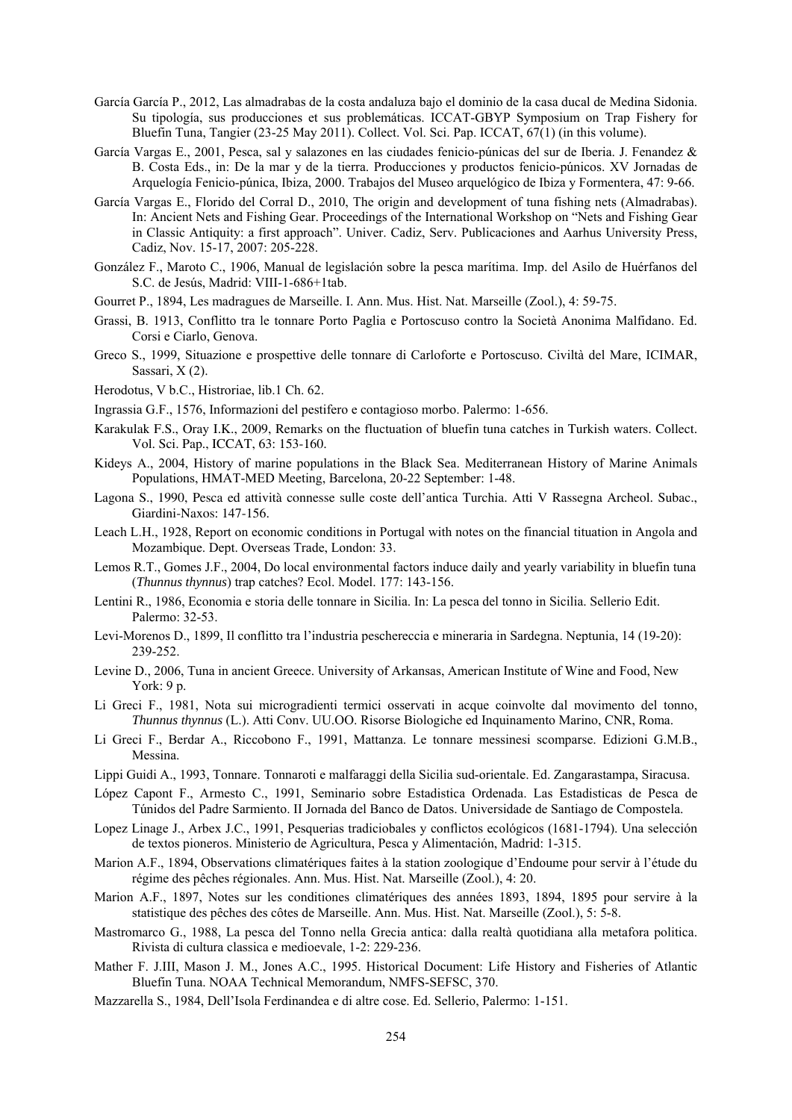- García García P., 2012, Las almadrabas de la costa andaluza bajo el dominio de la casa ducal de Medina Sidonia. Su tipología, sus producciones et sus problemáticas. ICCAT-GBYP Symposium on Trap Fishery for Bluefin Tuna, Tangier (23-25 May 2011). Collect. Vol. Sci. Pap. ICCAT, 67(1) (in this volume).
- García Vargas E., 2001, Pesca, sal y salazones en las ciudades fenicio-púnicas del sur de Iberia. J. Fenandez & B. Costa Eds., in: De la mar y de la tierra. Producciones y productos fenicio-púnicos. XV Jornadas de Arquelogía Fenicio-púnica, Ibiza, 2000. Trabajos del Museo arquelógico de Ibiza y Formentera, 47: 9-66.
- García Vargas E., Florido del Corral D., 2010, The origin and development of tuna fishing nets (Almadrabas). In: Ancient Nets and Fishing Gear. Proceedings of the International Workshop on "Nets and Fishing Gear in Classic Antiquity: a first approach". Univer. Cadiz, Serv. Publicaciones and Aarhus University Press, Cadiz, Nov. 15-17, 2007: 205-228.
- González F., Maroto C., 1906, Manual de legislación sobre la pesca marítima. Imp. del Asilo de Huérfanos del S.C. de Jesús, Madrid: VIII-1-686+1tab.
- Gourret P., 1894, Les madragues de Marseille. I. Ann. Mus. Hist. Nat. Marseille (Zool.), 4: 59-75.
- Grassi, B. 1913, Conflitto tra le tonnare Porto Paglia e Portoscuso contro la Società Anonima Malfidano. Ed. Corsi e Ciarlo, Genova.
- Greco S., 1999, Situazione e prospettive delle tonnare di Carloforte e Portoscuso. Civiltà del Mare, ICIMAR, Sassari, X (2).
- Herodotus, V b.C., Histroriae, lib.1 Ch. 62.
- Ingrassia G.F., 1576, Informazioni del pestifero e contagioso morbo. Palermo: 1-656.
- Karakulak F.S., Oray I.K., 2009, Remarks on the fluctuation of bluefin tuna catches in Turkish waters. Collect. Vol. Sci. Pap., ICCAT, 63: 153-160.
- Kideys A., 2004, History of marine populations in the Black Sea. Mediterranean History of Marine Animals Populations, HMAT-MED Meeting, Barcelona, 20-22 September: 1-48.
- Lagona S., 1990, Pesca ed attività connesse sulle coste dell'antica Turchia. Atti V Rassegna Archeol. Subac., Giardini-Naxos: 147-156.
- Leach L.H., 1928, Report on economic conditions in Portugal with notes on the financial tituation in Angola and Mozambique. Dept. Overseas Trade, London: 33.
- Lemos R.T., Gomes J.F., 2004, Do local environmental factors induce daily and yearly variability in bluefin tuna (*Thunnus thynnus*) trap catches? Ecol. Model. 177: 143-156.
- Lentini R., 1986, Economia e storia delle tonnare in Sicilia. In: La pesca del tonno in Sicilia. Sellerio Edit. Palermo: 32-53.
- Levi-Morenos D., 1899, Il conflitto tra l'industria peschereccia e mineraria in Sardegna. Neptunia, 14 (19-20): 239-252.
- Levine D., 2006, Tuna in ancient Greece. University of Arkansas, American Institute of Wine and Food, New York: 9 p.
- Li Greci F., 1981, Nota sui microgradienti termici osservati in acque coinvolte dal movimento del tonno, *Thunnus thynnus* (L.). Atti Conv. UU.OO. Risorse Biologiche ed Inquinamento Marino, CNR, Roma.
- Li Greci F., Berdar A., Riccobono F., 1991, Mattanza. Le tonnare messinesi scomparse. Edizioni G.M.B., Messina.
- Lippi Guidi A., 1993, Tonnare. Tonnaroti e malfaraggi della Sicilia sud-orientale. Ed. Zangarastampa, Siracusa.
- López Capont F., Armesto C., 1991, Seminario sobre Estadistica Ordenada. Las Estadisticas de Pesca de Túnidos del Padre Sarmiento. II Jornada del Banco de Datos. Universidade de Santiago de Compostela.
- Lopez Linage J., Arbex J.C., 1991, Pesquerias tradiciobales y conflictos ecológicos (1681-1794). Una selección de textos pioneros. Ministerio de Agricultura, Pesca y Alimentación, Madrid: 1-315.
- Marion A.F., 1894, Observations climatériques faites à la station zoologique d'Endoume pour servir à l'étude du régime des pêches régionales. Ann. Mus. Hist. Nat. Marseille (Zool.), 4: 20.
- Marion A.F., 1897, Notes sur les conditiones climatériques des années 1893, 1894, 1895 pour servire à la statistique des pêches des côtes de Marseille. Ann. Mus. Hist. Nat. Marseille (Zool.), 5: 5-8.
- Mastromarco G., 1988, La pesca del Tonno nella Grecia antica: dalla realtà quotidiana alla metafora politica. Rivista di cultura classica e medioevale, 1-2: 229-236.
- Mather F. J.III, Mason J. M., Jones A.C., 1995. Historical Document: Life History and Fisheries of Atlantic Bluefin Tuna. NOAA Technical Memorandum, NMFS-SEFSC, 370.
- Mazzarella S., 1984, Dell'Isola Ferdinandea e di altre cose. Ed. Sellerio, Palermo: 1-151.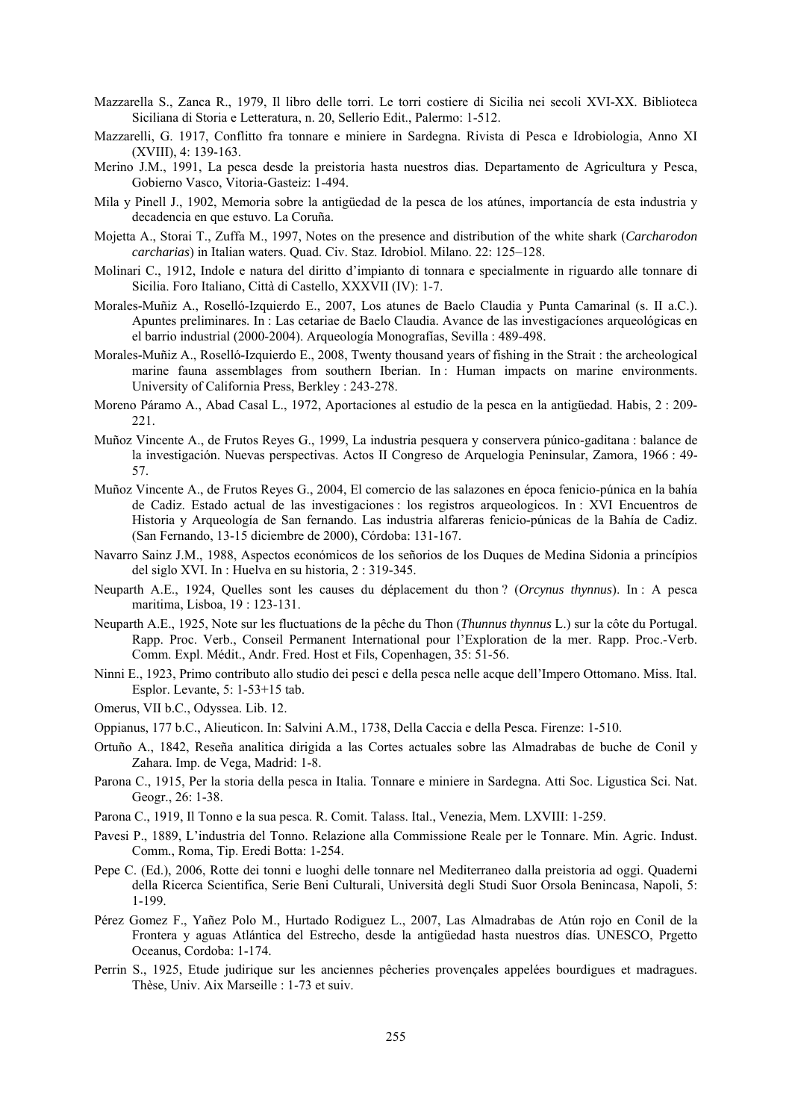- Mazzarella S., Zanca R., 1979, Il libro delle torri. Le torri costiere di Sicilia nei secoli XVI-XX. Biblioteca Siciliana di Storia e Letteratura, n. 20, Sellerio Edit., Palermo: 1-512.
- Mazzarelli, G. 1917, Conflitto fra tonnare e miniere in Sardegna. Rivista di Pesca e Idrobiologia, Anno XI (XVIII), 4: 139-163.
- Merino J.M., 1991, La pesca desde la preistoria hasta nuestros dias. Departamento de Agricultura y Pesca, Gobierno Vasco, Vitoria-Gasteiz: 1-494.
- Mila y Pinell J., 1902, Memoria sobre la antigüedad de la pesca de los atúnes, importancía de esta industria y decadencia en que estuvo. La Coruña.
- Mojetta A., Storai T., Zuffa M., 1997, Notes on the presence and distribution of the white shark (*Carcharodon carcharias*) in Italian waters. Quad. Civ. Staz. Idrobiol. Milano. 22: 125–128.
- Molinari C., 1912, Indole e natura del diritto d'impianto di tonnara e specialmente in riguardo alle tonnare di Sicilia. Foro Italiano, Città di Castello, XXXVII (IV): 1-7.
- Morales-Muñiz A., Roselló-Izquierdo E., 2007, Los atunes de Baelo Claudia y Punta Camarinal (s. II a.C.). Apuntes preliminares. In : Las cetariae de Baelo Claudia. Avance de las investigacíones arqueológicas en el barrio industrial (2000-2004). Arqueología Monografías, Sevilla : 489-498.
- Morales-Muñiz A., Roselló-Izquierdo E., 2008, Twenty thousand years of fishing in the Strait : the archeological marine fauna assemblages from southern Iberian. In : Human impacts on marine environments. University of California Press, Berkley : 243-278.
- Moreno Páramo A., Abad Casal L., 1972, Aportaciones al estudio de la pesca en la antigüedad. Habis, 2 : 209- 221.
- Muñoz Vincente A., de Frutos Reyes G., 1999, La industria pesquera y conservera púnico-gaditana : balance de la investigación. Nuevas perspectivas. Actos II Congreso de Arquelogia Peninsular, Zamora, 1966 : 49- 57.
- Muñoz Vincente A., de Frutos Reyes G., 2004, El comercio de las salazones en época fenicio-púnica en la bahía de Cadiz. Estado actual de las investigaciones : los registros arqueologicos. In : XVI Encuentros de Historia y Arqueología de San fernando. Las industria alfareras fenicio-púnicas de la Bahía de Cadiz. (San Fernando, 13-15 diciembre de 2000), Córdoba: 131-167.
- Navarro Sainz J.M., 1988, Aspectos económicos de los señorios de los Duques de Medina Sidonia a princípios del siglo XVI. In : Huelva en su historia, 2 : 319-345.
- Neuparth A.E., 1924, Quelles sont les causes du déplacement du thon ? (*Orcynus thynnus*). In : A pesca maritima, Lisboa, 19 : 123-131.
- Neuparth A.E., 1925, Note sur les fluctuations de la pêche du Thon (*Thunnus thynnus* L.) sur la côte du Portugal. Rapp. Proc. Verb., Conseil Permanent International pour l'Exploration de la mer. Rapp. Proc.-Verb. Comm. Expl. Médit., Andr. Fred. Host et Fils, Copenhagen, 35: 51-56.
- Ninni E., 1923, Primo contributo allo studio dei pesci e della pesca nelle acque dell'Impero Ottomano. Miss. Ital. Esplor. Levante, 5: 1-53+15 tab.
- Omerus, VII b.C., Odyssea. Lib. 12.
- Oppianus, 177 b.C., Alieuticon. In: Salvini A.M., 1738, Della Caccia e della Pesca. Firenze: 1-510.
- Ortuño A., 1842, Reseña analitica dirigida a las Cortes actuales sobre las Almadrabas de buche de Conil y Zahara. Imp. de Vega, Madrid: 1-8.
- Parona C., 1915, Per la storia della pesca in Italia. Tonnare e miniere in Sardegna. Atti Soc. Ligustica Sci. Nat. Geogr., 26: 1-38.
- Parona C., 1919, Il Tonno e la sua pesca. R. Comit. Talass. Ital., Venezia, Mem. LXVIII: 1-259.
- Pavesi P., 1889, L'industria del Tonno. Relazione alla Commissione Reale per le Tonnare. Min. Agric. Indust. Comm., Roma, Tip. Eredi Botta: 1-254.
- Pepe C. (Ed.), 2006, Rotte dei tonni e luoghi delle tonnare nel Mediterraneo dalla preistoria ad oggi. Quaderni della Ricerca Scientifica, Serie Beni Culturali, Università degli Studi Suor Orsola Benincasa, Napoli, 5: 1-199.
- Pérez Gomez F., Yañez Polo M., Hurtado Rodiguez L., 2007, Las Almadrabas de Atún rojo en Conil de la Frontera y aguas Atlántica del Estrecho, desde la antigüedad hasta nuestros días. UNESCO, Prgetto Oceanus, Cordoba: 1-174.
- Perrin S., 1925, Etude judirique sur les anciennes pêcheries provençales appelées bourdigues et madragues. Thèse, Univ. Aix Marseille : 1-73 et suiv.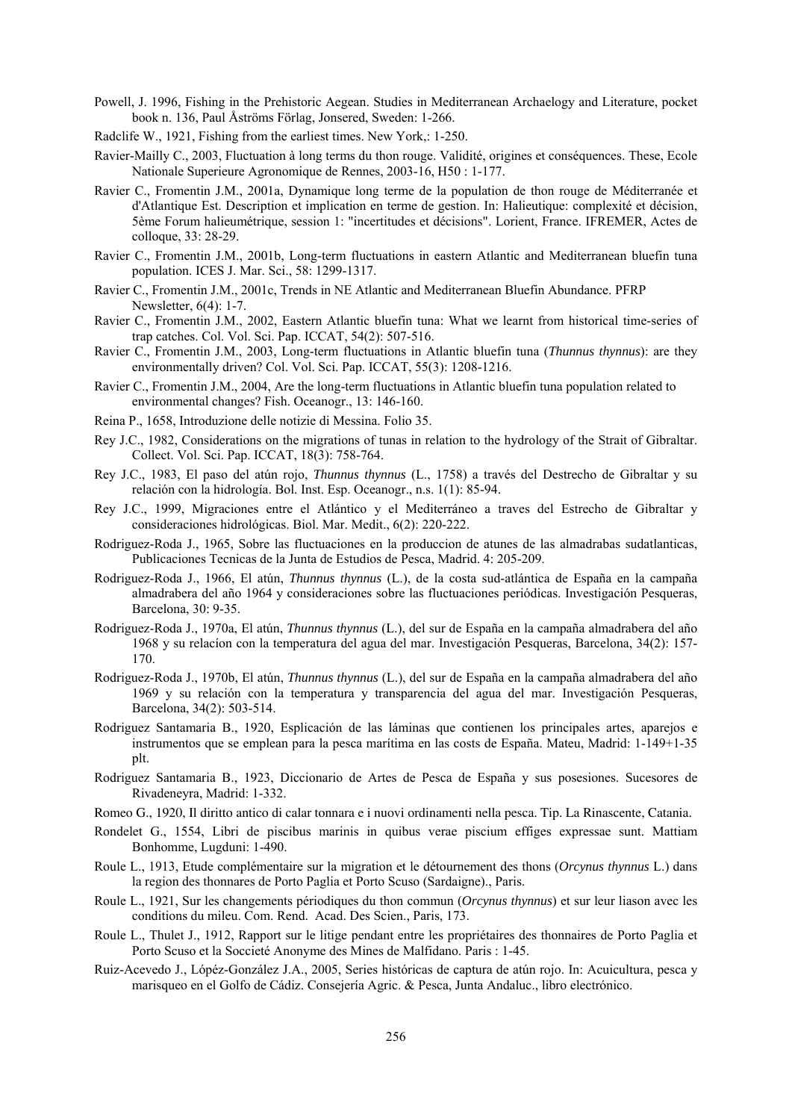- Powell, J. 1996, Fishing in the Prehistoric Aegean. Studies in Mediterranean Archaelogy and Literature, pocket book n. 136, Paul Åströms Förlag, Jonsered, Sweden: 1-266.
- Radclife W., 1921, Fishing from the earliest times. New York,: 1-250.
- Ravier-Mailly C., 2003, Fluctuation à long terms du thon rouge. Validité, origines et conséquences. These, Ecole Nationale Superieure Agronomique de Rennes, 2003-16, H50 : 1-177.
- Ravier C., Fromentin J.M., 2001a, Dynamique long terme de la population de thon rouge de Méditerranée et d'Atlantique Est. Description et implication en terme de gestion. In: Halieutique: complexité et décision, 5ème Forum halieumétrique, session 1: "incertitudes et décisions". Lorient, France. IFREMER, Actes de colloque, 33: 28-29.
- Ravier C., Fromentin J.M., 2001b, Long-term fluctuations in eastern Atlantic and Mediterranean bluefin tuna population. ICES J. Mar. Sci., 58: 1299-1317.
- Ravier C., Fromentin J.M., 2001c, Trends in NE Atlantic and Mediterranean Bluefin Abundance. PFRP Newsletter, 6(4): 1-7.
- Ravier C., Fromentin J.M., 2002, Eastern Atlantic bluefin tuna: What we learnt from historical time-series of trap catches. Col. Vol. Sci. Pap. ICCAT, 54(2): 507-516.
- Ravier C., Fromentin J.M., 2003, Long-term fluctuations in Atlantic bluefin tuna (*Thunnus thynnus*): are they environmentally driven? Col. Vol. Sci. Pap. ICCAT, 55(3): 1208-1216.
- Ravier C., Fromentin J.M., 2004, Are the long-term fluctuations in Atlantic bluefin tuna population related to environmental changes? Fish. Oceanogr., 13: 146-160.
- Reina P., 1658, Introduzione delle notizie di Messina. Folio 35.
- Rey J.C., 1982, Considerations on the migrations of tunas in relation to the hydrology of the Strait of Gibraltar. Collect. Vol. Sci. Pap. ICCAT, 18(3): 758-764.
- Rey J.C., 1983, El paso del atún rojo, *Thunnus thynnus* (L., 1758) a través del Destrecho de Gibraltar y su relación con la hidrología. Bol. Inst. Esp. Oceanogr., n.s. 1(1): 85-94.
- Rey J.C., 1999, Migraciones entre el Atlántico y el Mediterráneo a traves del Estrecho de Gibraltar y consideraciones hidrológicas. Biol. Mar. Medit., 6(2): 220-222.
- Rodriguez-Roda J., 1965, Sobre las fluctuaciones en la produccion de atunes de las almadrabas sudatlanticas, Publicaciones Tecnicas de la Junta de Estudios de Pesca, Madrid. 4: 205-209.
- Rodriguez-Roda J., 1966, El atún, *Thunnus thynnus* (L.), de la costa sud-atlántica de España en la campaña almadrabera del año 1964 y consideraciones sobre las fluctuaciones periódicas. Investigación Pesqueras, Barcelona, 30: 9-35.
- Rodriguez-Roda J., 1970a, El atún, *Thunnus thynnus* (L.), del sur de España en la campaña almadrabera del año 1968 y su relacíon con la temperatura del agua del mar. Investigación Pesqueras, Barcelona, 34(2): 157- 170.
- Rodriguez-Roda J., 1970b, El atún, *Thunnus thynnus* (L.), del sur de España en la campaña almadrabera del año 1969 y su relación con la temperatura y transparencia del agua del mar. Investigación Pesqueras, Barcelona, 34(2): 503-514.
- Rodriguez Santamaria B., 1920, Esplicación de las láminas que contienen los principales artes, aparejos e instrumentos que se emplean para la pesca marítima en las costs de España. Mateu, Madrid: 1-149+1-35 plt.
- Rodriguez Santamaria B., 1923, Diccionario de Artes de Pesca de España y sus posesiones. Sucesores de Rivadeneyra, Madrid: 1-332.
- Romeo G., 1920, Il diritto antico di calar tonnara e i nuovi ordinamenti nella pesca. Tip. La Rinascente, Catania.
- Rondelet G., 1554, Libri de piscibus marinis in quibus verae piscium effiges expressae sunt. Mattiam Bonhomme, Lugduni: 1-490.
- Roule L., 1913, Etude complémentaire sur la migration et le détournement des thons (*Orcynus thynnus* L.) dans la region des thonnares de Porto Paglia et Porto Scuso (Sardaigne)., Paris.
- Roule L., 1921, Sur les changements périodiques du thon commun (*Orcynus thynnus*) et sur leur liason avec les conditions du mileu. Com. Rend. Acad. Des Scien., Paris, 173.
- Roule L., Thulet J., 1912, Rapport sur le litige pendant entre les propriétaires des thonnaires de Porto Paglia et Porto Scuso et la Soccieté Anonyme des Mines de Malfidano. Paris : 1-45.
- Ruiz-Acevedo J., Lópéz-González J.A., 2005, Series históricas de captura de atún rojo. In: Acuicultura, pesca y marisqueo en el Golfo de Cádiz. Consejería Agric. & Pesca, Junta Andaluc., libro electrónico.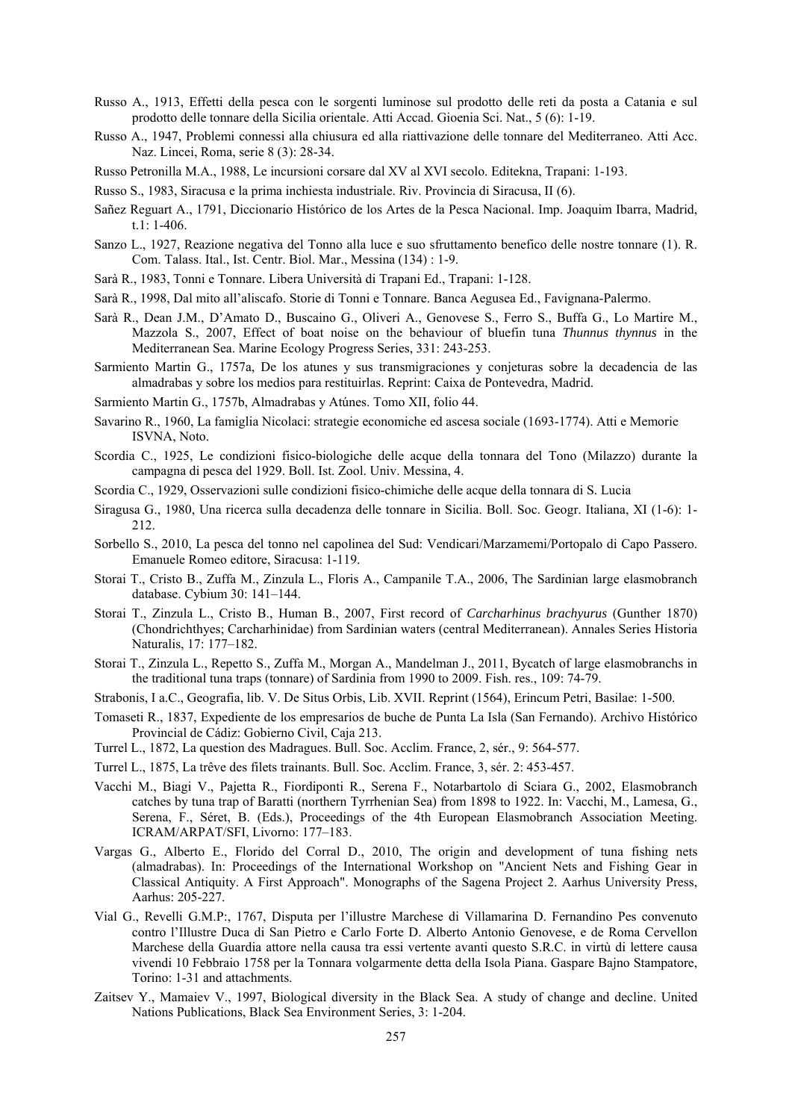- Russo A., 1913, Effetti della pesca con le sorgenti luminose sul prodotto delle reti da posta a Catania e sul prodotto delle tonnare della Sicilia orientale. Atti Accad. Gioenia Sci. Nat., 5 (6): 1-19.
- Russo A., 1947, Problemi connessi alla chiusura ed alla riattivazione delle tonnare del Mediterraneo. Atti Acc. Naz. Lincei, Roma, serie 8 (3): 28-34.
- Russo Petronilla M.A., 1988, Le incursioni corsare dal XV al XVI secolo. Editekna, Trapani: 1-193.
- Russo S., 1983, Siracusa e la prima inchiesta industriale. Riv. Provincia di Siracusa, II (6).
- Sañez Reguart A., 1791, Diccionario Histórico de los Artes de la Pesca Nacional. Imp. Joaquim Ibarra, Madrid, t.1: 1-406.
- Sanzo L., 1927, Reazione negativa del Tonno alla luce e suo sfruttamento benefico delle nostre tonnare (1). R. Com. Talass. Ital., Ist. Centr. Biol. Mar., Messina (134) : 1-9.
- Sarà R., 1983, Tonni e Tonnare. Libera Università di Trapani Ed., Trapani: 1-128.
- Sarà R., 1998, Dal mito all'aliscafo. Storie di Tonni e Tonnare. Banca Aegusea Ed., Favignana-Palermo.
- Sarà R., Dean J.M., D'Amato D., Buscaino G., Oliveri A., Genovese S., Ferro S., Buffa G., Lo Martire M., Mazzola S., 2007, Effect of boat noise on the behaviour of bluefin tuna *Thunnus thynnus* in the Mediterranean Sea. Marine Ecology Progress Series, 331: 243-253.
- Sarmiento Martin G., 1757a, De los atunes y sus transmigraciones y conjeturas sobre la decadencia de las almadrabas y sobre los medios para restituirlas. Reprint: Caixa de Pontevedra, Madrid.
- Sarmiento Martin G., 1757b, Almadrabas y Atúnes. Tomo XII, folio 44.
- Savarino R., 1960, La famiglia Nicolaci: strategie economiche ed ascesa sociale (1693-1774). Atti e Memorie ISVNA, Noto.
- Scordia C., 1925, Le condizioni fisico-biologiche delle acque della tonnara del Tono (Milazzo) durante la campagna di pesca del 1929. Boll. Ist. Zool. Univ. Messina, 4.
- Scordia C., 1929, Osservazioni sulle condizioni fisico-chimiche delle acque della tonnara di S. Lucia
- Siragusa G., 1980, Una ricerca sulla decadenza delle tonnare in Sicilia. Boll. Soc. Geogr. Italiana, XI (1-6): 1- 212.
- Sorbello S., 2010, La pesca del tonno nel capolinea del Sud: Vendicari/Marzamemi/Portopalo di Capo Passero. Emanuele Romeo editore, Siracusa: 1-119.
- Storai T., Cristo B., Zuffa M., Zinzula L., Floris A., Campanile T.A., 2006, The Sardinian large elasmobranch database. Cybium 30: 141–144.
- Storai T., Zinzula L., Cristo B., Human B., 2007, First record of *Carcharhinus brachyurus* (Gunther 1870) (Chondrichthyes; Carcharhinidae) from Sardinian waters (central Mediterranean). Annales Series Historia Naturalis, 17: 177–182.
- Storai T., Zinzula L., Repetto S., Zuffa M., Morgan A., Mandelman J., 2011, Bycatch of large elasmobranchs in the traditional tuna traps (tonnare) of Sardinia from 1990 to 2009. Fish. res., 109: 74-79.
- Strabonis, I a.C., Geografia, lib. V. De Situs Orbis, Lib. XVII. Reprint (1564), Erincum Petri, Basilae: 1-500.
- Tomaseti R., 1837, Expediente de los empresarios de buche de Punta La Isla (San Fernando). Archivo Histórico Provincial de Cádiz: Gobierno Civil, Caja 213.
- Turrel L., 1872, La question des Madragues. Bull. Soc. Acclim. France, 2, sér., 9: 564-577.
- Turrel L., 1875, La trêve des filets trainants. Bull. Soc. Acclim. France, 3, sér. 2: 453-457.
- Vacchi M., Biagi V., Pajetta R., Fiordiponti R., Serena F., Notarbartolo di Sciara G., 2002, Elasmobranch catches by tuna trap of Baratti (northern Tyrrhenian Sea) from 1898 to 1922. In: Vacchi, M., Lamesa, G., Serena, F., Séret, B. (Eds.), Proceedings of the 4th European Elasmobranch Association Meeting. ICRAM/ARPAT/SFI, Livorno: 177–183.
- Vargas G., Alberto E., Florido del Corral D., 2010, The origin and development of tuna fishing nets (almadrabas). In: Proceedings of the International Workshop on "Ancient Nets and Fishing Gear in Classical Antiquity. A First Approach". Monographs of the Sagena Project 2. Aarhus University Press, Aarhus: 205-227.
- Vial G., Revelli G.M.P:, 1767, Disputa per l'illustre Marchese di Villamarina D. Fernandino Pes convenuto contro l'Illustre Duca di San Pietro e Carlo Forte D. Alberto Antonio Genovese, e de Roma Cervellon Marchese della Guardia attore nella causa tra essi vertente avanti questo S.R.C. in virtù di lettere causa vivendi 10 Febbraio 1758 per la Tonnara volgarmente detta della Isola Piana. Gaspare Bajno Stampatore, Torino: 1-31 and attachments.
- Zaitsev Y., Mamaiev V., 1997, Biological diversity in the Black Sea. A study of change and decline. United Nations Publications, Black Sea Environment Series, 3: 1-204.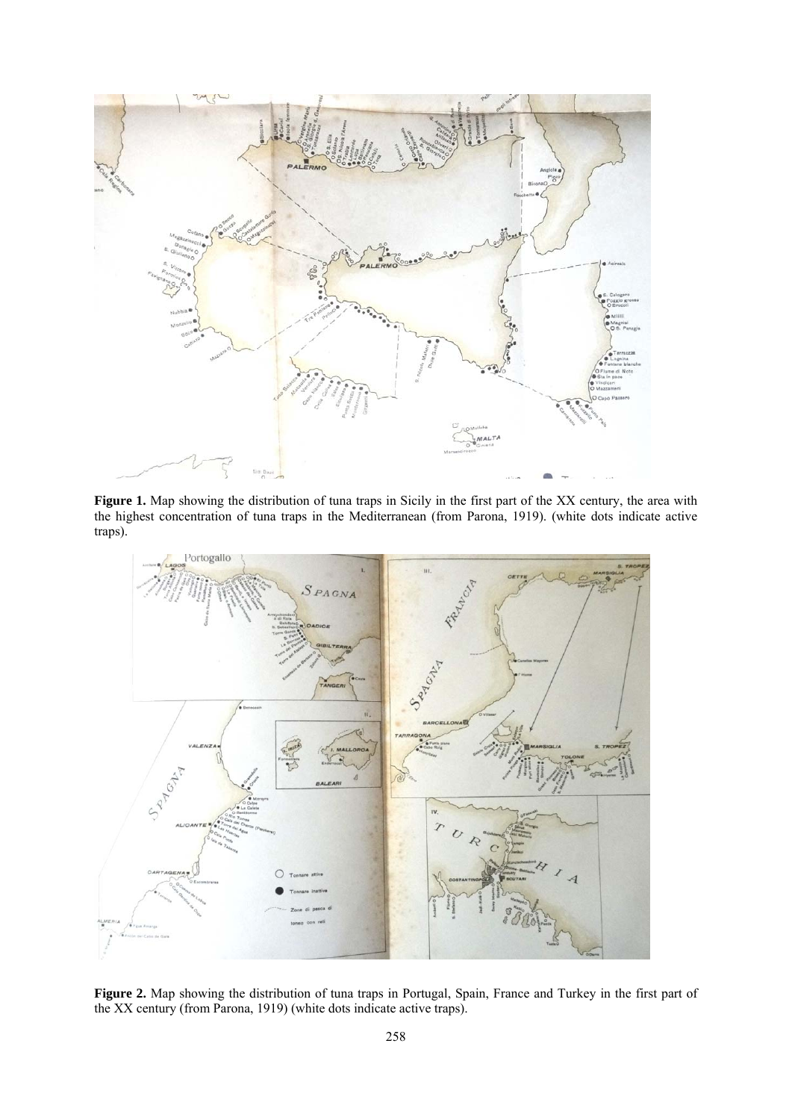

**Figure 1.** Map showing the distribution of tuna traps in Sicily in the first part of the XX century, the area with the highest concentration of tuna traps in the Mediterranean (from Parona, 1919). (white dots indicate active traps).



**Figure 2.** Map showing the distribution of tuna traps in Portugal, Spain, France and Turkey in the first part of the XX century (from Parona, 1919) (white dots indicate active traps).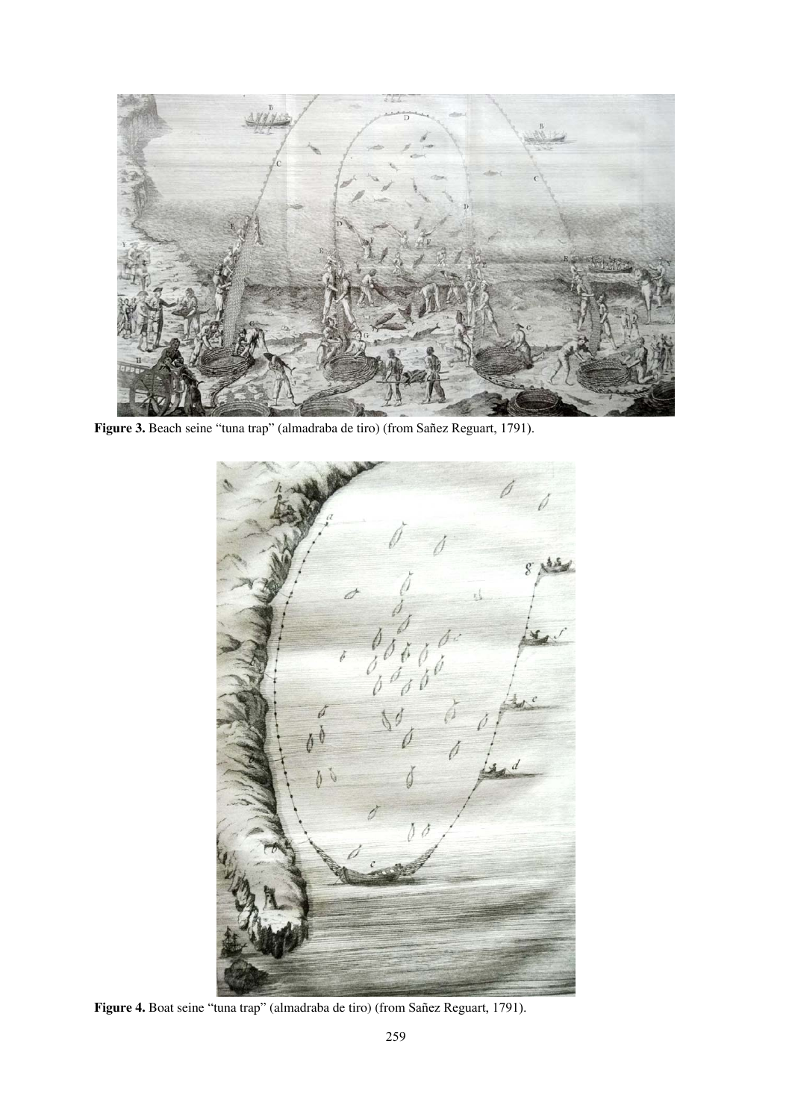

**Figure 3.** Beach seine "tuna trap" (almadraba de tiro) (from Sañez Reguart, 1791).



**Figure 4.** Boat seine "tuna trap" (almadraba de tiro) (from Sañez Reguart, 1791).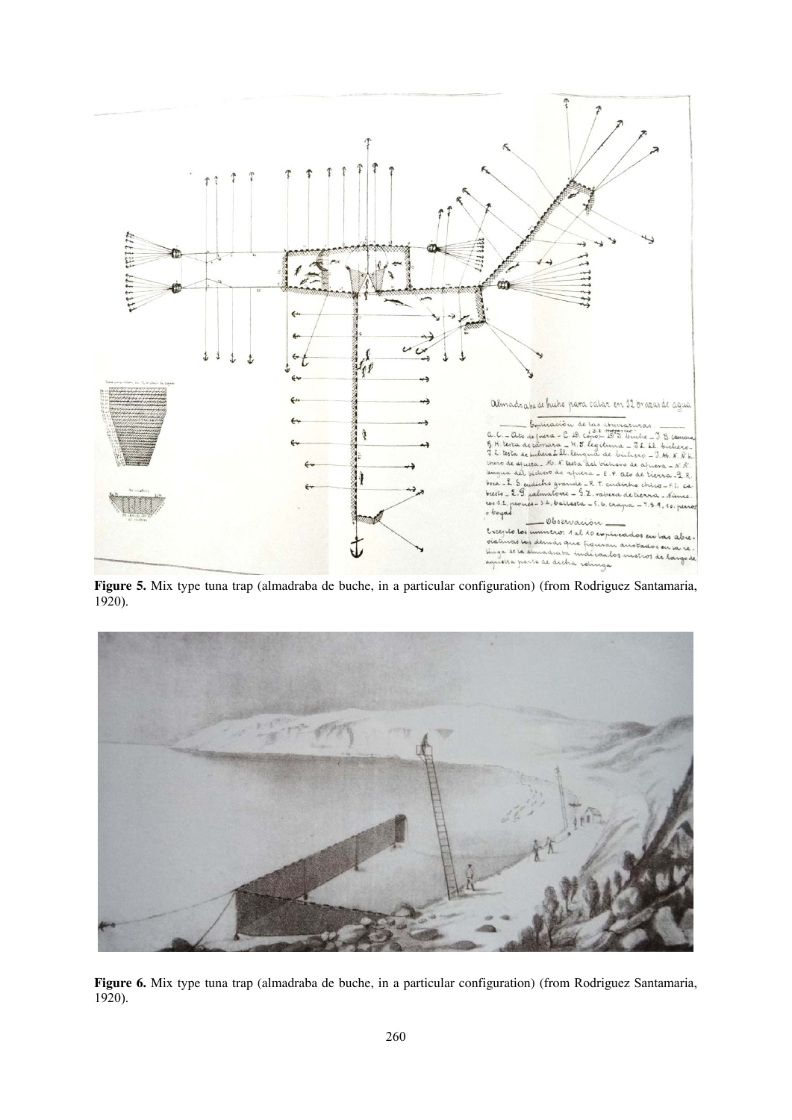

**Figure 5.** Mix type tuna trap (almadraba de buche, in a particular configuration) (from Rodriguez Santamaria, 1920).



**Figure 6.** Mix type tuna trap (almadraba de buche, in a particular configuration) (from Rodriguez Santamaria, 1920).